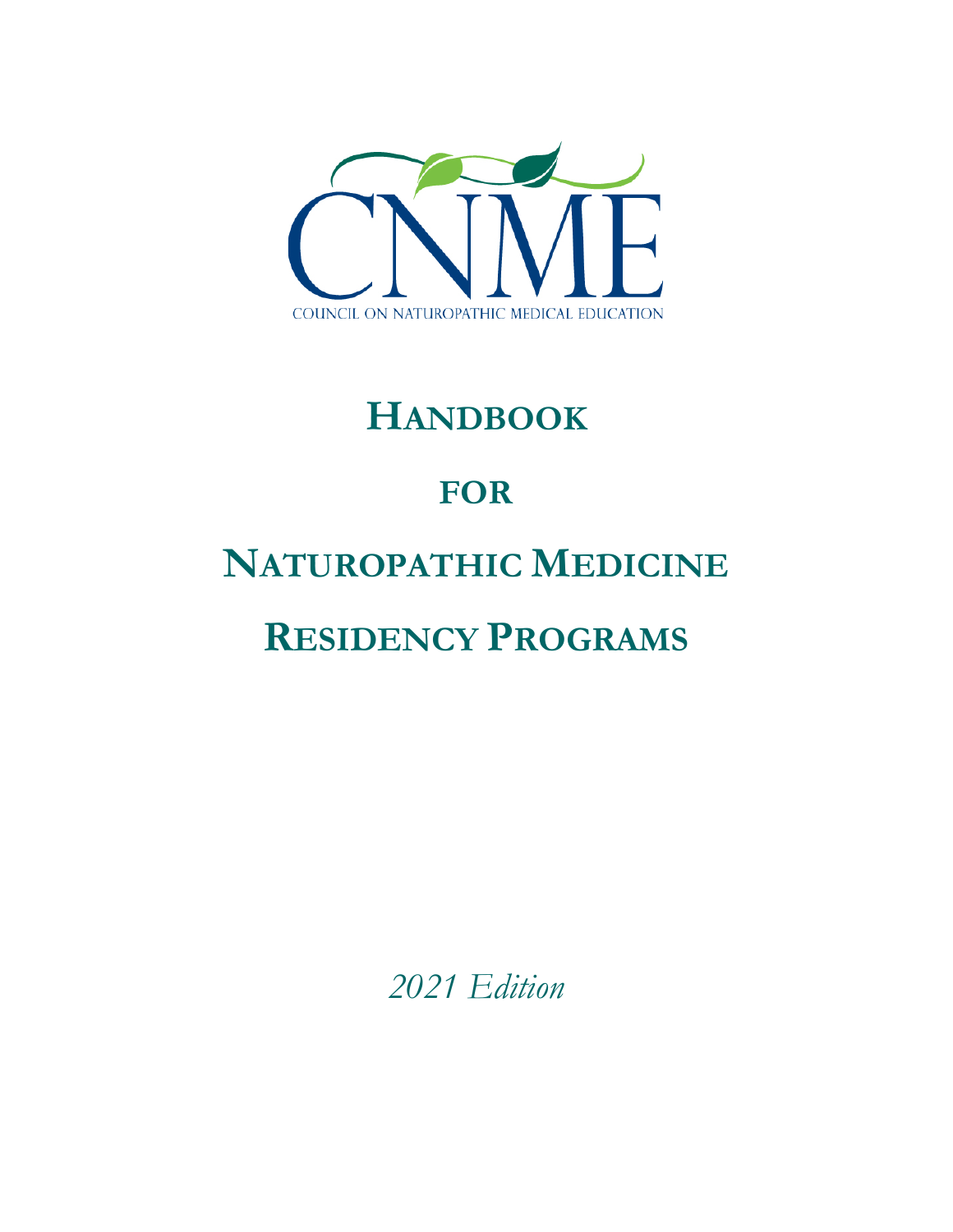

# **HANDBOOK**

# **FOR**

# **NATUROPATHIC MEDICINE**

# **RESIDENCY PROGRAMS**

*2021 Edition*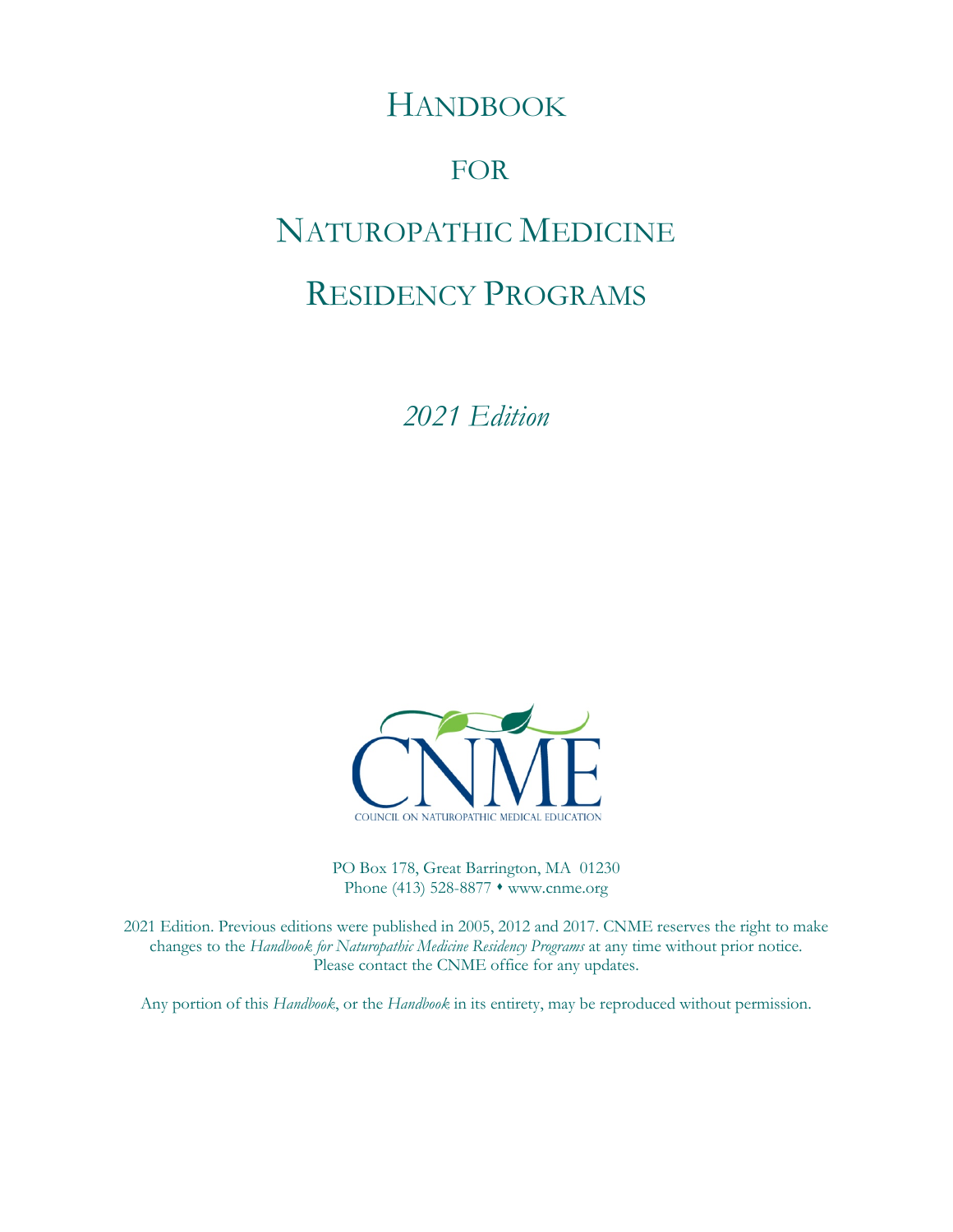# HANDBOOK

# FOR

# NATUROPATHIC MEDICINE

# RESIDENCY PROGRAMS

*2021 Edition*



PO Box 178, Great Barrington, MA 01230 Phone (413) 528-8877 • www.cnme.org

2021 Edition. Previous editions were published in 2005, 2012 and 2017. CNME reserves the right to make changes to the *Handbook for Naturopathic Medicine Residency Programs* at any time without prior notice. Please contact the CNME office for any updates.

Any portion of this *Handbook*, or the *Handbook* in its entirety, may be reproduced without permission.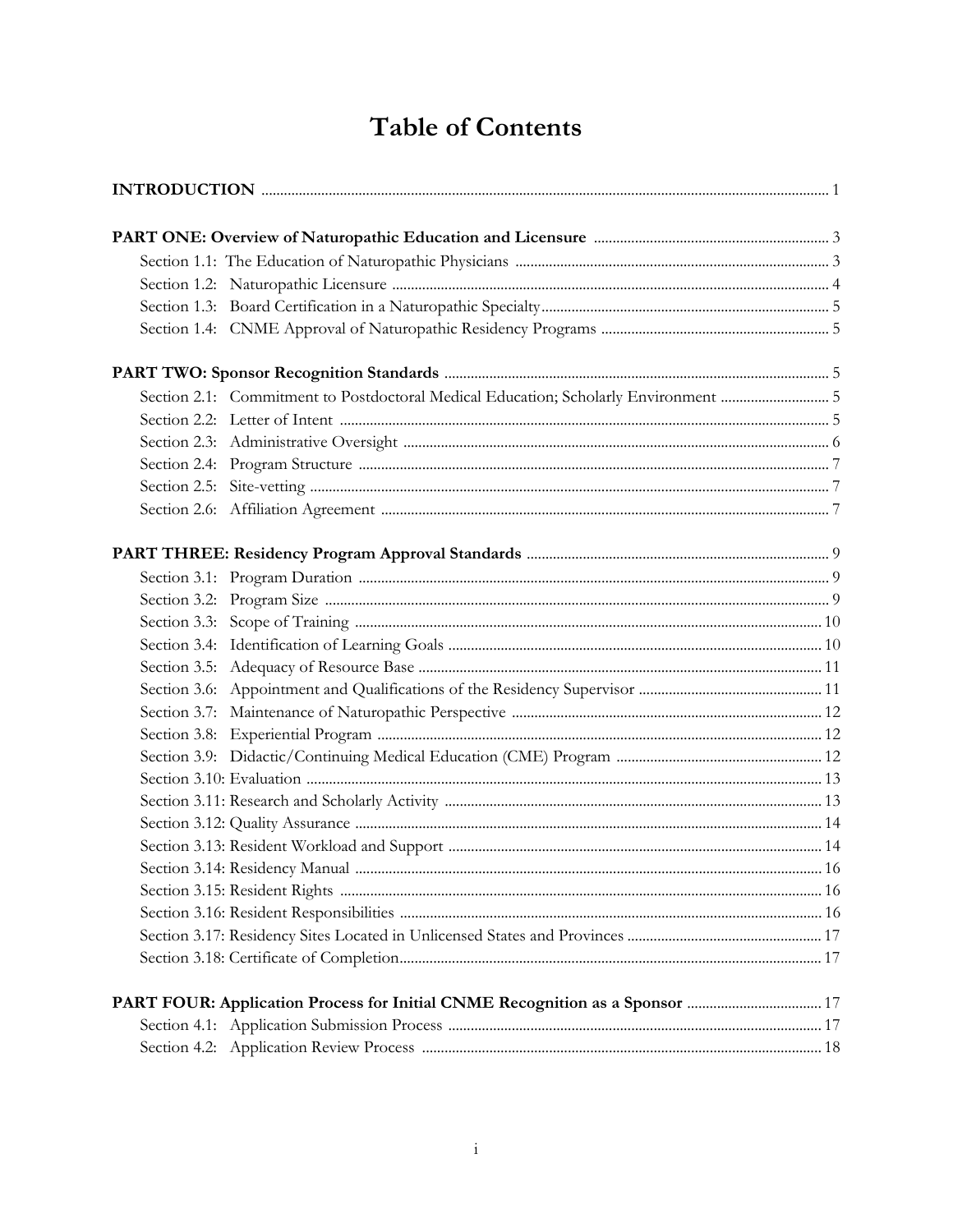# **Table of Contents**

| Section 2.1: Commitment to Postdoctoral Medical Education; Scholarly Environment  5 |  |  |  |
|-------------------------------------------------------------------------------------|--|--|--|
|                                                                                     |  |  |  |
|                                                                                     |  |  |  |
|                                                                                     |  |  |  |
|                                                                                     |  |  |  |
|                                                                                     |  |  |  |
|                                                                                     |  |  |  |
|                                                                                     |  |  |  |
|                                                                                     |  |  |  |
|                                                                                     |  |  |  |
|                                                                                     |  |  |  |
|                                                                                     |  |  |  |
|                                                                                     |  |  |  |
|                                                                                     |  |  |  |
|                                                                                     |  |  |  |
|                                                                                     |  |  |  |
|                                                                                     |  |  |  |
|                                                                                     |  |  |  |
|                                                                                     |  |  |  |
|                                                                                     |  |  |  |
|                                                                                     |  |  |  |
|                                                                                     |  |  |  |
|                                                                                     |  |  |  |
|                                                                                     |  |  |  |
|                                                                                     |  |  |  |
|                                                                                     |  |  |  |
|                                                                                     |  |  |  |
|                                                                                     |  |  |  |
|                                                                                     |  |  |  |
|                                                                                     |  |  |  |
|                                                                                     |  |  |  |
|                                                                                     |  |  |  |
|                                                                                     |  |  |  |
|                                                                                     |  |  |  |
|                                                                                     |  |  |  |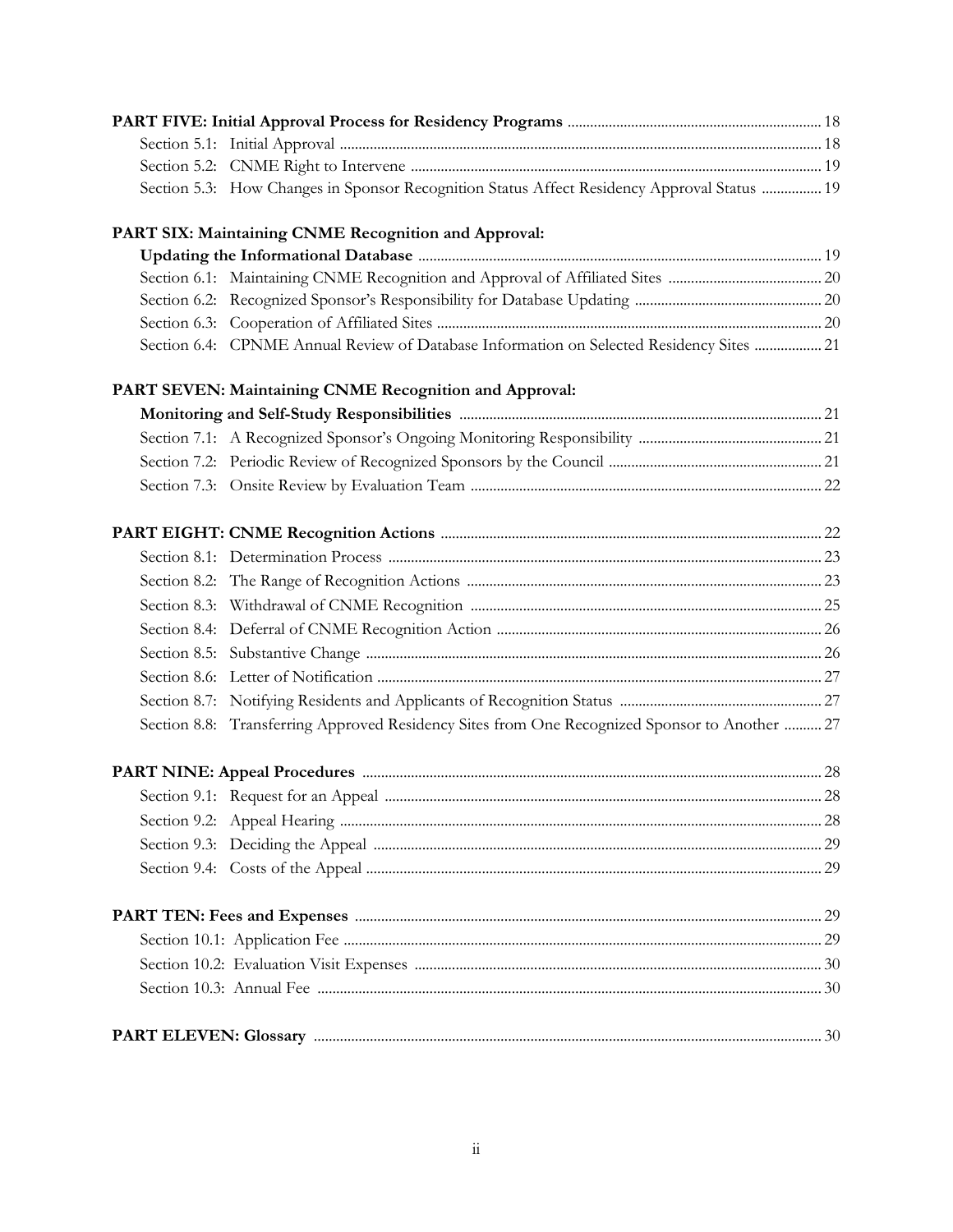| Section 5.3: How Changes in Sponsor Recognition Status Affect Residency Approval Status  19   |  |
|-----------------------------------------------------------------------------------------------|--|
| PART SIX: Maintaining CNME Recognition and Approval:                                          |  |
|                                                                                               |  |
|                                                                                               |  |
|                                                                                               |  |
|                                                                                               |  |
| Section 6.4: CPNME Annual Review of Database Information on Selected Residency Sites  21      |  |
| PART SEVEN: Maintaining CNME Recognition and Approval:                                        |  |
|                                                                                               |  |
|                                                                                               |  |
|                                                                                               |  |
|                                                                                               |  |
|                                                                                               |  |
|                                                                                               |  |
|                                                                                               |  |
|                                                                                               |  |
|                                                                                               |  |
|                                                                                               |  |
|                                                                                               |  |
|                                                                                               |  |
| Section 8.8: Transferring Approved Residency Sites from One Recognized Sponsor to Another  27 |  |
|                                                                                               |  |
|                                                                                               |  |
|                                                                                               |  |
|                                                                                               |  |
|                                                                                               |  |
|                                                                                               |  |
|                                                                                               |  |
|                                                                                               |  |
|                                                                                               |  |
|                                                                                               |  |
|                                                                                               |  |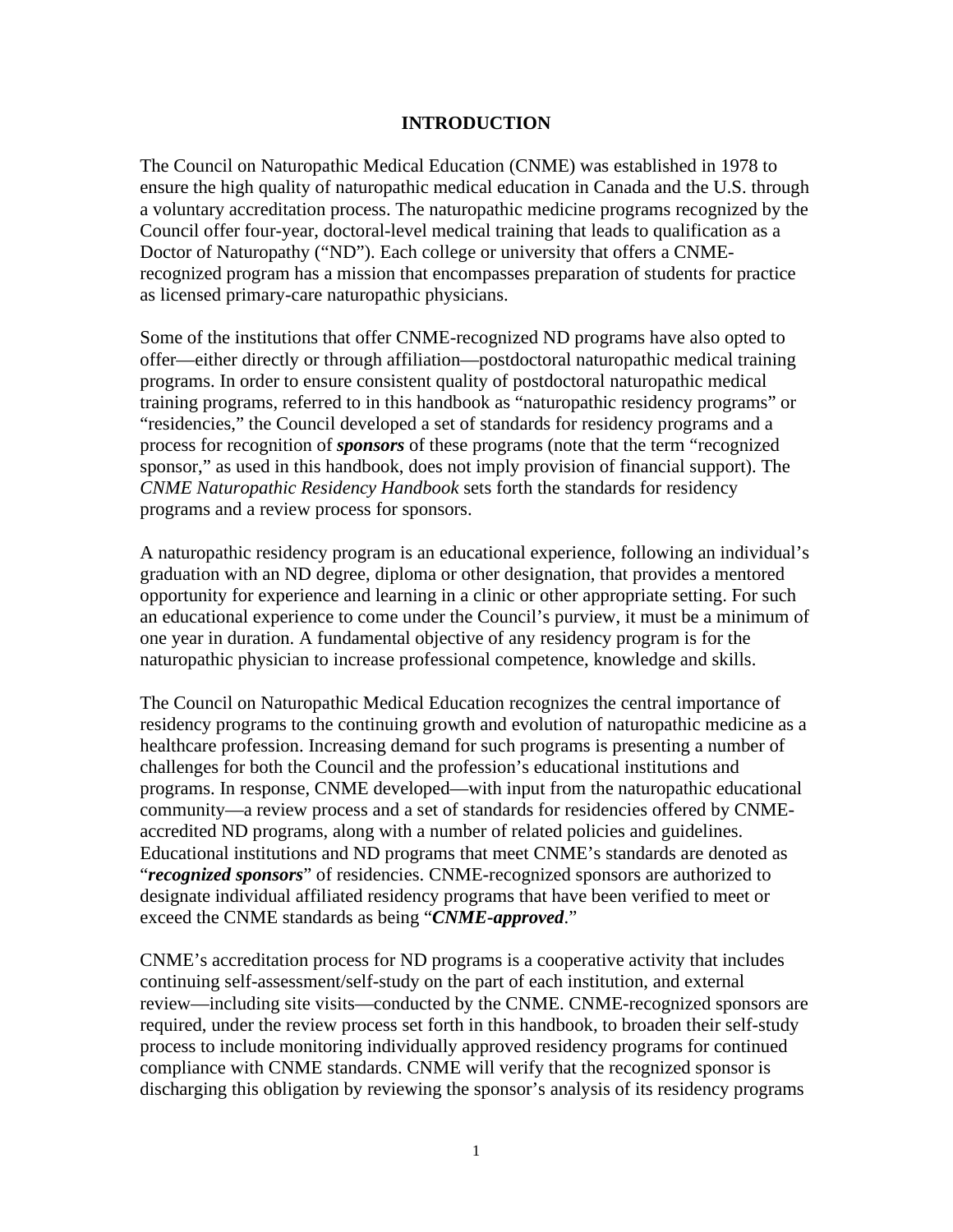#### **INTRODUCTION**

The Council on Naturopathic Medical Education (CNME) was established in 1978 to ensure the high quality of naturopathic medical education in Canada and the U.S. through a voluntary accreditation process. The naturopathic medicine programs recognized by the Council offer four-year, doctoral-level medical training that leads to qualification as a Doctor of Naturopathy ("ND"). Each college or university that offers a CNMErecognized program has a mission that encompasses preparation of students for practice as licensed primary-care naturopathic physicians.

Some of the institutions that offer CNME-recognized ND programs have also opted to offer—either directly or through affiliation—postdoctoral naturopathic medical training programs. In order to ensure consistent quality of postdoctoral naturopathic medical training programs, referred to in this handbook as "naturopathic residency programs" or "residencies," the Council developed a set of standards for residency programs and a process for recognition of *sponsors* of these programs (note that the term "recognized sponsor," as used in this handbook, does not imply provision of financial support). The *CNME Naturopathic Residency Handbook* sets forth the standards for residency programs and a review process for sponsors.

A naturopathic residency program is an educational experience, following an individual's graduation with an ND degree, diploma or other designation, that provides a mentored opportunity for experience and learning in a clinic or other appropriate setting. For such an educational experience to come under the Council's purview, it must be a minimum of one year in duration. A fundamental objective of any residency program is for the naturopathic physician to increase professional competence, knowledge and skills.

The Council on Naturopathic Medical Education recognizes the central importance of residency programs to the continuing growth and evolution of naturopathic medicine as a healthcare profession. Increasing demand for such programs is presenting a number of challenges for both the Council and the profession's educational institutions and programs. In response, CNME developed—with input from the naturopathic educational community—a review process and a set of standards for residencies offered by CNMEaccredited ND programs, along with a number of related policies and guidelines. Educational institutions and ND programs that meet CNME's standards are denoted as "*recognized sponsors*" of residencies. CNME-recognized sponsors are authorized to designate individual affiliated residency programs that have been verified to meet or exceed the CNME standards as being "*CNME-approved*."

CNME's accreditation process for ND programs is a cooperative activity that includes continuing self-assessment/self-study on the part of each institution, and external review—including site visits—conducted by the CNME. CNME-recognized sponsors are required, under the review process set forth in this handbook, to broaden their self-study process to include monitoring individually approved residency programs for continued compliance with CNME standards. CNME will verify that the recognized sponsor is discharging this obligation by reviewing the sponsor's analysis of its residency programs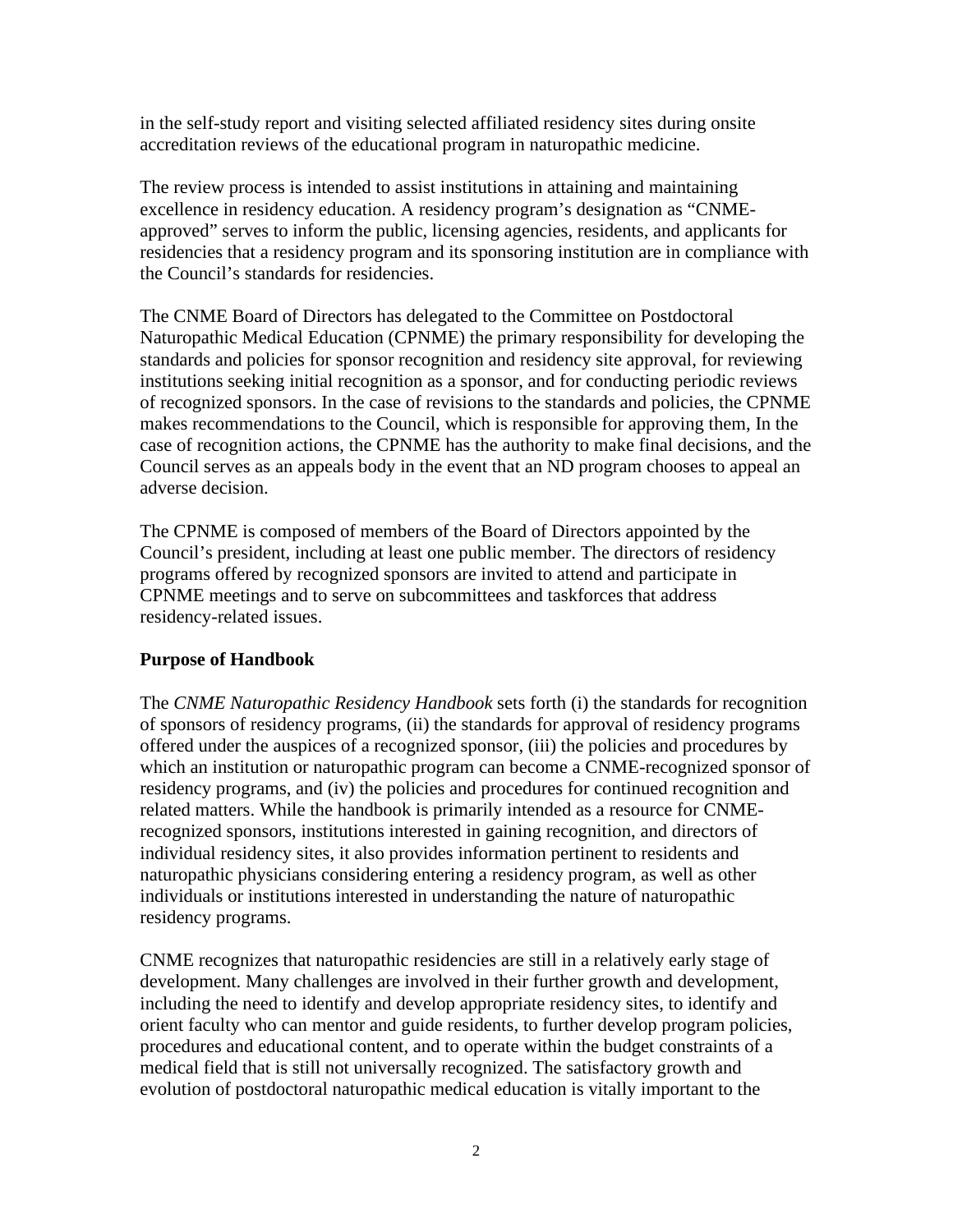in the self-study report and visiting selected affiliated residency sites during onsite accreditation reviews of the educational program in naturopathic medicine.

The review process is intended to assist institutions in attaining and maintaining excellence in residency education. A residency program's designation as "CNMEapproved" serves to inform the public, licensing agencies, residents, and applicants for residencies that a residency program and its sponsoring institution are in compliance with the Council's standards for residencies.

The CNME Board of Directors has delegated to the Committee on Postdoctoral Naturopathic Medical Education (CPNME) the primary responsibility for developing the standards and policies for sponsor recognition and residency site approval, for reviewing institutions seeking initial recognition as a sponsor, and for conducting periodic reviews of recognized sponsors. In the case of revisions to the standards and policies, the CPNME makes recommendations to the Council, which is responsible for approving them, In the case of recognition actions, the CPNME has the authority to make final decisions, and the Council serves as an appeals body in the event that an ND program chooses to appeal an adverse decision.

The CPNME is composed of members of the Board of Directors appointed by the Council's president, including at least one public member. The directors of residency programs offered by recognized sponsors are invited to attend and participate in CPNME meetings and to serve on subcommittees and taskforces that address residency-related issues.

# **Purpose of Handbook**

The *CNME Naturopathic Residency Handbook* sets forth (i) the standards for recognition of sponsors of residency programs, (ii) the standards for approval of residency programs offered under the auspices of a recognized sponsor, (iii) the policies and procedures by which an institution or naturopathic program can become a CNME-recognized sponsor of residency programs, and (iv) the policies and procedures for continued recognition and related matters. While the handbook is primarily intended as a resource for CNMErecognized sponsors, institutions interested in gaining recognition, and directors of individual residency sites, it also provides information pertinent to residents and naturopathic physicians considering entering a residency program, as well as other individuals or institutions interested in understanding the nature of naturopathic residency programs.

CNME recognizes that naturopathic residencies are still in a relatively early stage of development. Many challenges are involved in their further growth and development, including the need to identify and develop appropriate residency sites, to identify and orient faculty who can mentor and guide residents, to further develop program policies, procedures and educational content, and to operate within the budget constraints of a medical field that is still not universally recognized. The satisfactory growth and evolution of postdoctoral naturopathic medical education is vitally important to the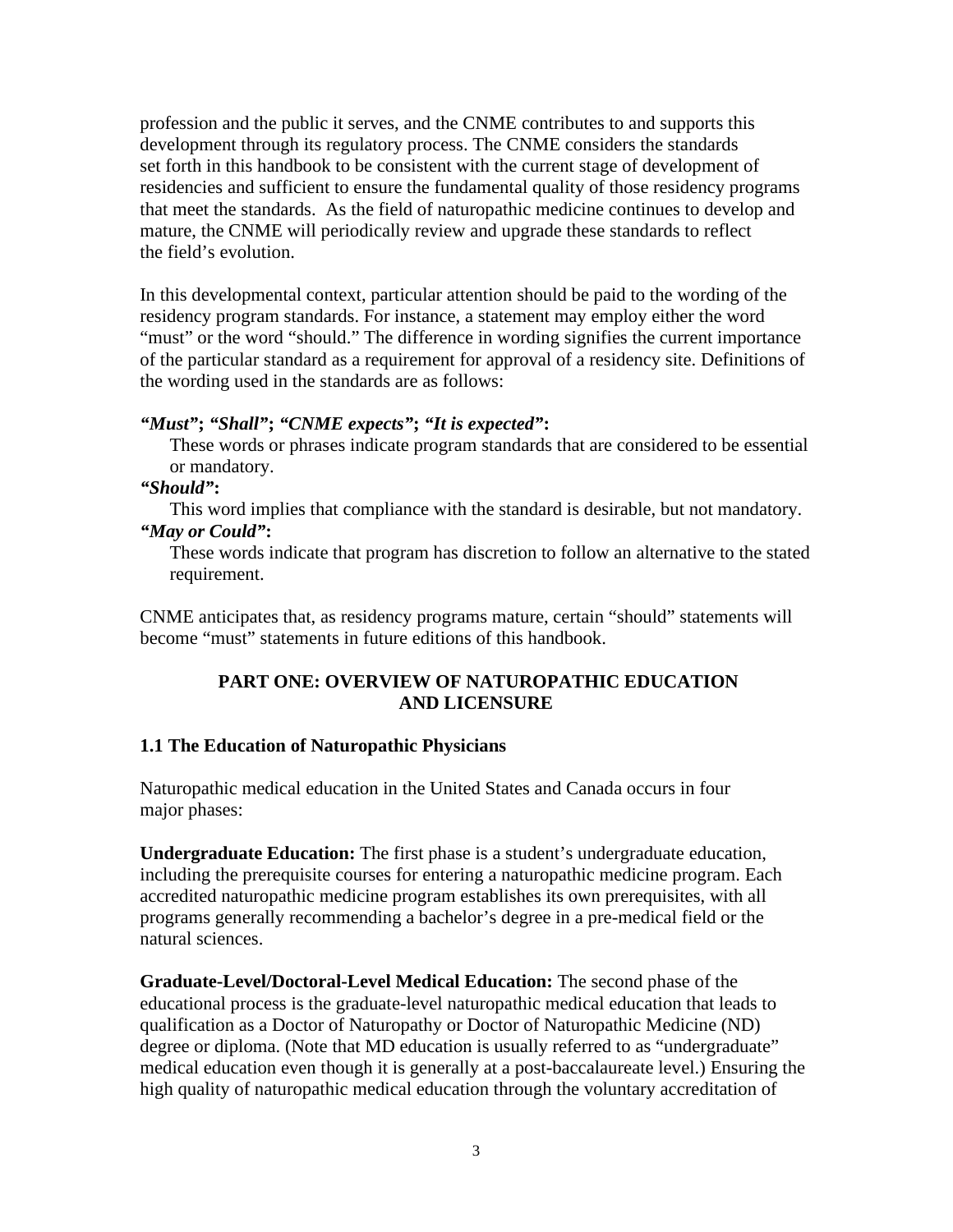profession and the public it serves, and the CNME contributes to and supports this development through its regulatory process. The CNME considers the standards set forth in this handbook to be consistent with the current stage of development of residencies and sufficient to ensure the fundamental quality of those residency programs that meet the standards. As the field of naturopathic medicine continues to develop and mature, the CNME will periodically review and upgrade these standards to reflect the field's evolution.

In this developmental context, particular attention should be paid to the wording of the residency program standards. For instance, a statement may employ either the word "must" or the word "should." The difference in wording signifies the current importance of the particular standard as a requirement for approval of a residency site. Definitions of the wording used in the standards are as follows:

#### *"Must"***;** *"Shall"***;** *"CNME expects"***;** *"It is expected"***:**

These words or phrases indicate program standards that are considered to be essential or mandatory.

#### *"Should"***:**

This word implies that compliance with the standard is desirable, but not mandatory. *"May or Could"***:**

These words indicate that program has discretion to follow an alternative to the stated requirement.

CNME anticipates that, as residency programs mature, certain "should" statements will become "must" statements in future editions of this handbook.

#### **PART ONE: OVERVIEW OF NATUROPATHIC EDUCATION AND LICENSURE**

#### **1.1 The Education of Naturopathic Physicians**

Naturopathic medical education in the United States and Canada occurs in four major phases:

**Undergraduate Education:** The first phase is a student's undergraduate education, including the prerequisite courses for entering a naturopathic medicine program. Each accredited naturopathic medicine program establishes its own prerequisites, with all programs generally recommending a bachelor's degree in a pre-medical field or the natural sciences.

**Graduate-Level/Doctoral-Level Medical Education:** The second phase of the educational process is the graduate-level naturopathic medical education that leads to qualification as a Doctor of Naturopathy or Doctor of Naturopathic Medicine (ND) degree or diploma. (Note that MD education is usually referred to as "undergraduate" medical education even though it is generally at a post-baccalaureate level.) Ensuring the high quality of naturopathic medical education through the voluntary accreditation of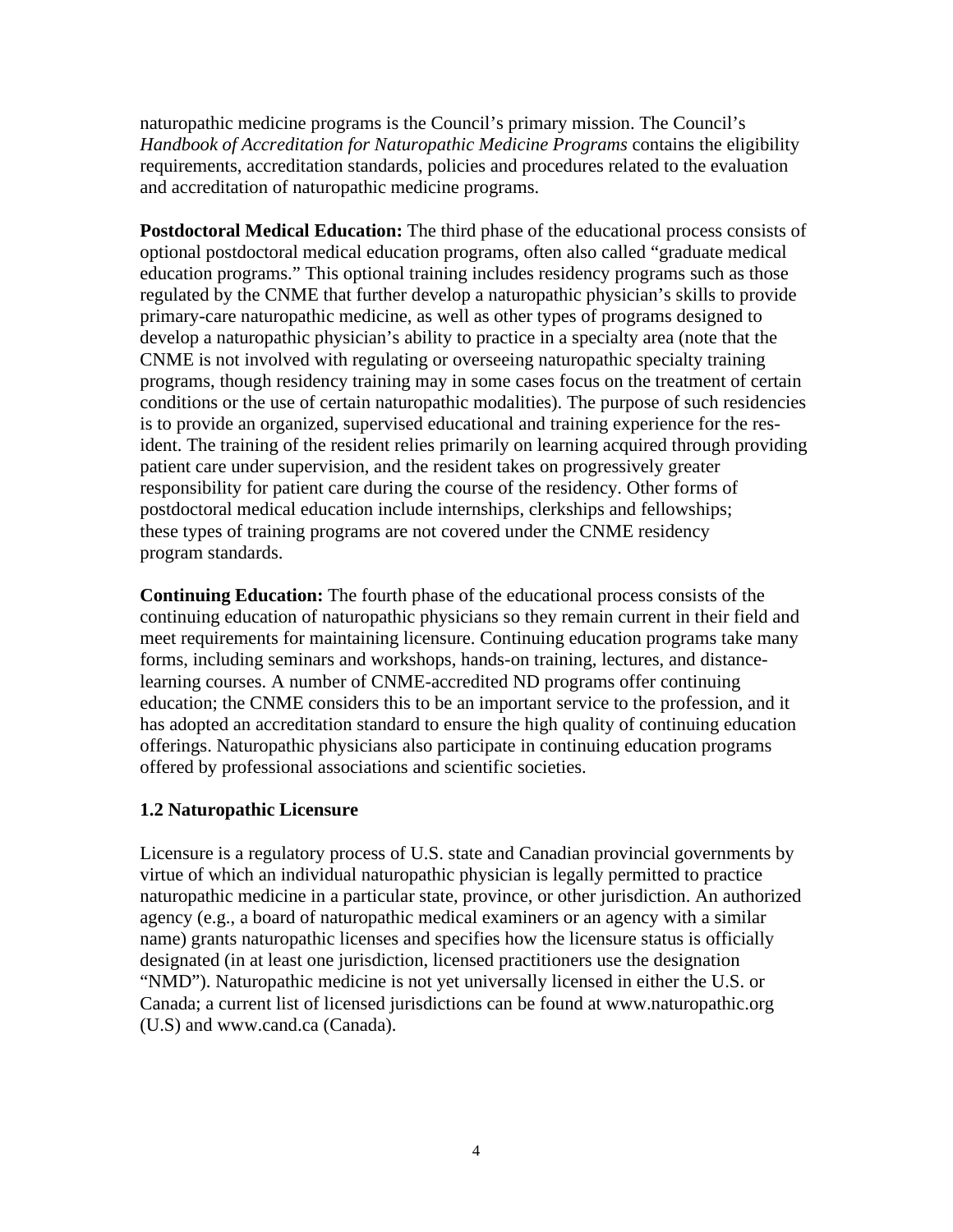naturopathic medicine programs is the Council's primary mission. The Council's *Handbook of Accreditation for Naturopathic Medicine Programs* contains the eligibility requirements, accreditation standards, policies and procedures related to the evaluation and accreditation of naturopathic medicine programs.

**Postdoctoral Medical Education:** The third phase of the educational process consists of optional postdoctoral medical education programs, often also called "graduate medical education programs." This optional training includes residency programs such as those regulated by the CNME that further develop a naturopathic physician's skills to provide primary-care naturopathic medicine, as well as other types of programs designed to develop a naturopathic physician's ability to practice in a specialty area (note that the CNME is not involved with regulating or overseeing naturopathic specialty training programs, though residency training may in some cases focus on the treatment of certain conditions or the use of certain naturopathic modalities). The purpose of such residencies is to provide an organized, supervised educational and training experience for the resident. The training of the resident relies primarily on learning acquired through providing patient care under supervision, and the resident takes on progressively greater responsibility for patient care during the course of the residency. Other forms of postdoctoral medical education include internships, clerkships and fellowships; these types of training programs are not covered under the CNME residency program standards.

**Continuing Education:** The fourth phase of the educational process consists of the continuing education of naturopathic physicians so they remain current in their field and meet requirements for maintaining licensure. Continuing education programs take many forms, including seminars and workshops, hands-on training, lectures, and distancelearning courses. A number of CNME-accredited ND programs offer continuing education; the CNME considers this to be an important service to the profession, and it has adopted an accreditation standard to ensure the high quality of continuing education offerings. Naturopathic physicians also participate in continuing education programs offered by professional associations and scientific societies.

# **1.2 Naturopathic Licensure**

Licensure is a regulatory process of U.S. state and Canadian provincial governments by virtue of which an individual naturopathic physician is legally permitted to practice naturopathic medicine in a particular state, province, or other jurisdiction. An authorized agency (e.g., a board of naturopathic medical examiners or an agency with a similar name) grants naturopathic licenses and specifies how the licensure status is officially designated (in at least one jurisdiction, licensed practitioners use the designation "NMD"). Naturopathic medicine is not yet universally licensed in either the U.S. or Canada; a current list of licensed jurisdictions can be found at [www.naturopathic.org](http://www.naturopathic.org/) (U.S) and [www.cand.ca](http://www.cand.ca/) (Canada).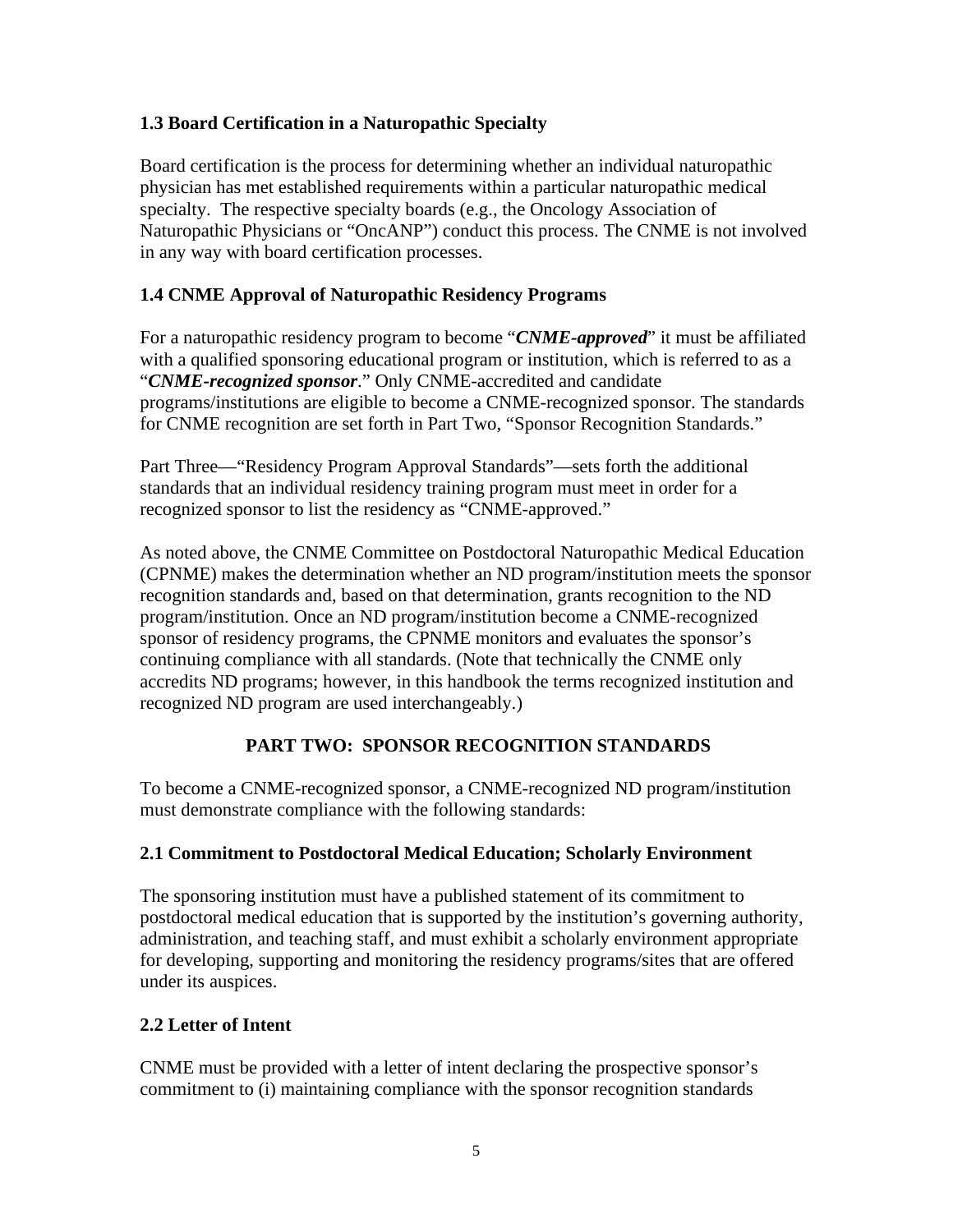# **1.3 Board Certification in a Naturopathic Specialty**

Board certification is the process for determining whether an individual naturopathic physician has met established requirements within a particular naturopathic medical specialty. The respective specialty boards (e.g., the Oncology Association of Naturopathic Physicians or "OncANP") conduct this process. The CNME is not involved in any way with board certification processes.

# **1.4 CNME Approval of Naturopathic Residency Programs**

For a naturopathic residency program to become "*CNME-approved*" it must be affiliated with a qualified sponsoring educational program or institution, which is referred to as a "*CNME-recognized sponsor*." Only CNME-accredited and candidate programs/institutions are eligible to become a CNME-recognized sponsor. The standards for CNME recognition are set forth in Part Two, "Sponsor Recognition Standards."

Part Three—"Residency Program Approval Standards"—sets forth the additional standards that an individual residency training program must meet in order for a recognized sponsor to list the residency as "CNME-approved."

As noted above, the CNME Committee on Postdoctoral Naturopathic Medical Education (CPNME) makes the determination whether an ND program/institution meets the sponsor recognition standards and, based on that determination, grants recognition to the ND program/institution. Once an ND program/institution become a CNME-recognized sponsor of residency programs, the CPNME monitors and evaluates the sponsor's continuing compliance with all standards. (Note that technically the CNME only accredits ND programs; however, in this handbook the terms recognized institution and recognized ND program are used interchangeably.)

# **PART TWO: SPONSOR RECOGNITION STANDARDS**

To become a CNME-recognized sponsor, a CNME-recognized ND program/institution must demonstrate compliance with the following standards:

# **2.1 Commitment to Postdoctoral Medical Education; Scholarly Environment**

The sponsoring institution must have a published statement of its commitment to postdoctoral medical education that is supported by the institution's governing authority, administration, and teaching staff, and must exhibit a scholarly environment appropriate for developing, supporting and monitoring the residency programs/sites that are offered under its auspices.

# **2.2 Letter of Intent**

CNME must be provided with a letter of intent declaring the prospective sponsor's commitment to (i) maintaining compliance with the sponsor recognition standards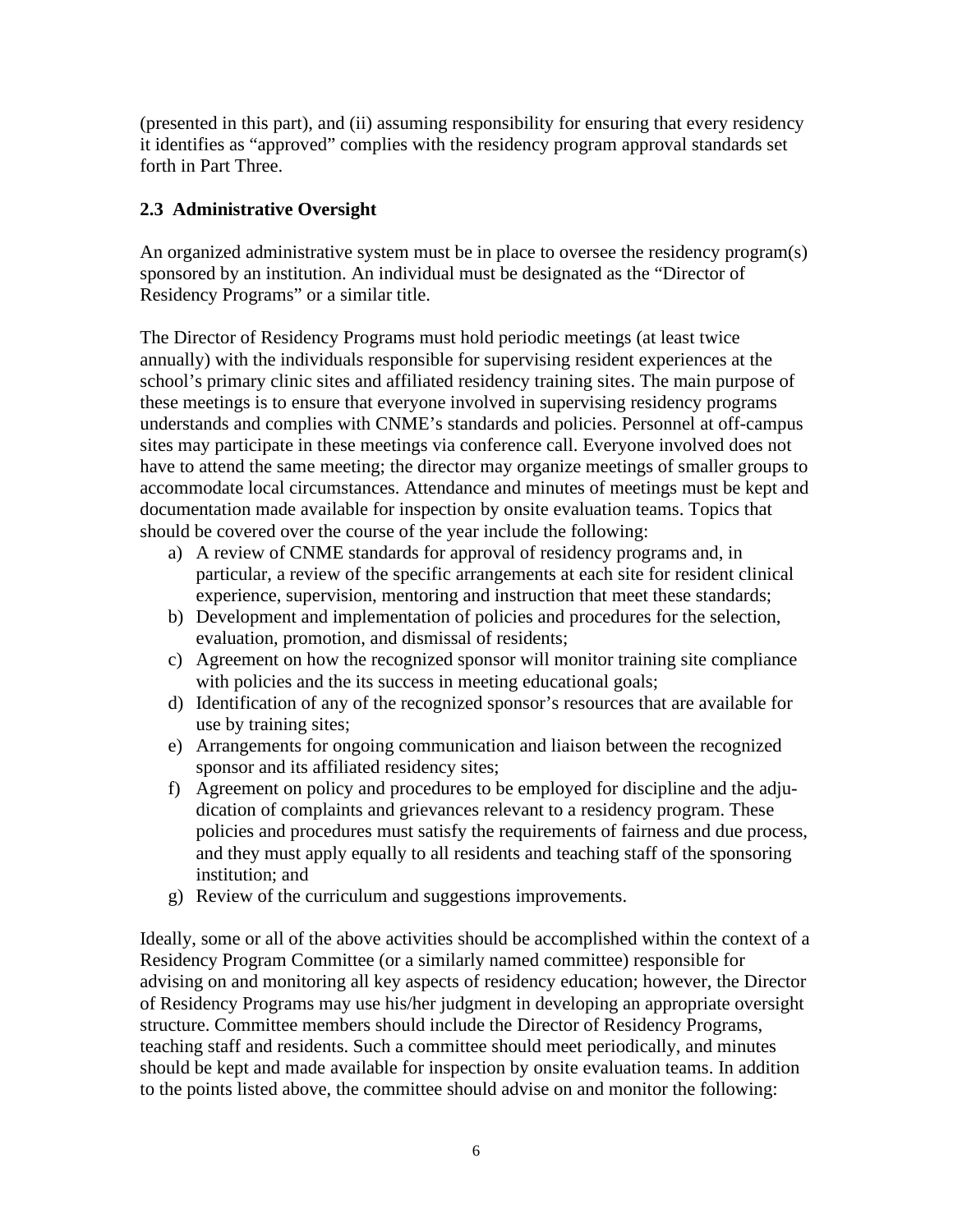(presented in this part), and (ii) assuming responsibility for ensuring that every residency it identifies as "approved" complies with the residency program approval standards set forth in Part Three.

# **2.3 Administrative Oversight**

An organized administrative system must be in place to oversee the residency program(s) sponsored by an institution. An individual must be designated as the "Director of Residency Programs" or a similar title.

The Director of Residency Programs must hold periodic meetings (at least twice annually) with the individuals responsible for supervising resident experiences at the school's primary clinic sites and affiliated residency training sites. The main purpose of these meetings is to ensure that everyone involved in supervising residency programs understands and complies with CNME's standards and policies. Personnel at off-campus sites may participate in these meetings via conference call. Everyone involved does not have to attend the same meeting; the director may organize meetings of smaller groups to accommodate local circumstances. Attendance and minutes of meetings must be kept and documentation made available for inspection by onsite evaluation teams. Topics that should be covered over the course of the year include the following:

- a) A review of CNME standards for approval of residency programs and, in particular, a review of the specific arrangements at each site for resident clinical experience, supervision, mentoring and instruction that meet these standards;
- b) Development and implementation of policies and procedures for the selection, evaluation, promotion, and dismissal of residents;
- c) Agreement on how the recognized sponsor will monitor training site compliance with policies and the its success in meeting educational goals;
- d) Identification of any of the recognized sponsor's resources that are available for use by training sites;
- e) Arrangements for ongoing communication and liaison between the recognized sponsor and its affiliated residency sites;
- f) Agreement on policy and procedures to be employed for discipline and the adjudication of complaints and grievances relevant to a residency program. These policies and procedures must satisfy the requirements of fairness and due process, and they must apply equally to all residents and teaching staff of the sponsoring institution; and
- g) Review of the curriculum and suggestions improvements.

Ideally, some or all of the above activities should be accomplished within the context of a Residency Program Committee (or a similarly named committee) responsible for advising on and monitoring all key aspects of residency education; however, the Director of Residency Programs may use his/her judgment in developing an appropriate oversight structure. Committee members should include the Director of Residency Programs, teaching staff and residents. Such a committee should meet periodically, and minutes should be kept and made available for inspection by onsite evaluation teams. In addition to the points listed above, the committee should advise on and monitor the following: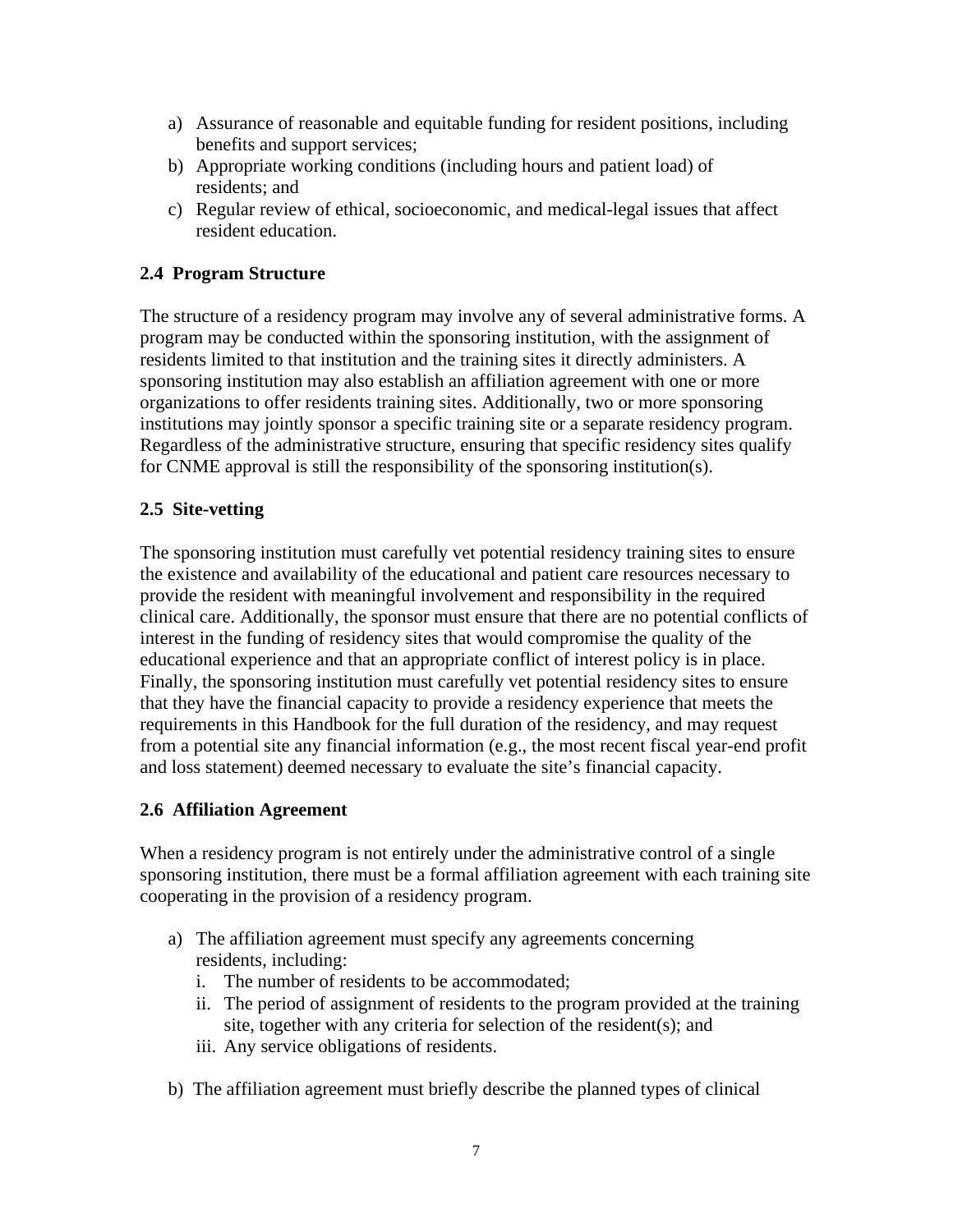- a) Assurance of reasonable and equitable funding for resident positions, including benefits and support services;
- b) Appropriate working conditions (including hours and patient load) of residents; and
- c) Regular review of ethical, socioeconomic, and medical-legal issues that affect resident education.

# **2.4 Program Structure**

The structure of a residency program may involve any of several administrative forms. A program may be conducted within the sponsoring institution, with the assignment of residents limited to that institution and the training sites it directly administers. A sponsoring institution may also establish an affiliation agreement with one or more organizations to offer residents training sites. Additionally, two or more sponsoring institutions may jointly sponsor a specific training site or a separate residency program. Regardless of the administrative structure, ensuring that specific residency sites qualify for CNME approval is still the responsibility of the sponsoring institution(s).

#### **2.5 Site-vetting**

The sponsoring institution must carefully vet potential residency training sites to ensure the existence and availability of the educational and patient care resources necessary to provide the resident with meaningful involvement and responsibility in the required clinical care. Additionally, the sponsor must ensure that there are no potential conflicts of interest in the funding of residency sites that would compromise the quality of the educational experience and that an appropriate conflict of interest policy is in place. Finally, the sponsoring institution must carefully vet potential residency sites to ensure that they have the financial capacity to provide a residency experience that meets the requirements in this Handbook for the full duration of the residency, and may request from a potential site any financial information (e.g., the most recent fiscal year-end profit and loss statement) deemed necessary to evaluate the site's financial capacity.

# **2.6 Affiliation Agreement**

When a residency program is not entirely under the administrative control of a single sponsoring institution, there must be a formal affiliation agreement with each training site cooperating in the provision of a residency program.

- a) The affiliation agreement must specify any agreements concerning residents, including:
	- i. The number of residents to be accommodated;
	- ii. The period of assignment of residents to the program provided at the training site, together with any criteria for selection of the resident(s); and
	- iii. Any service obligations of residents.
- b) The affiliation agreement must briefly describe the planned types of clinical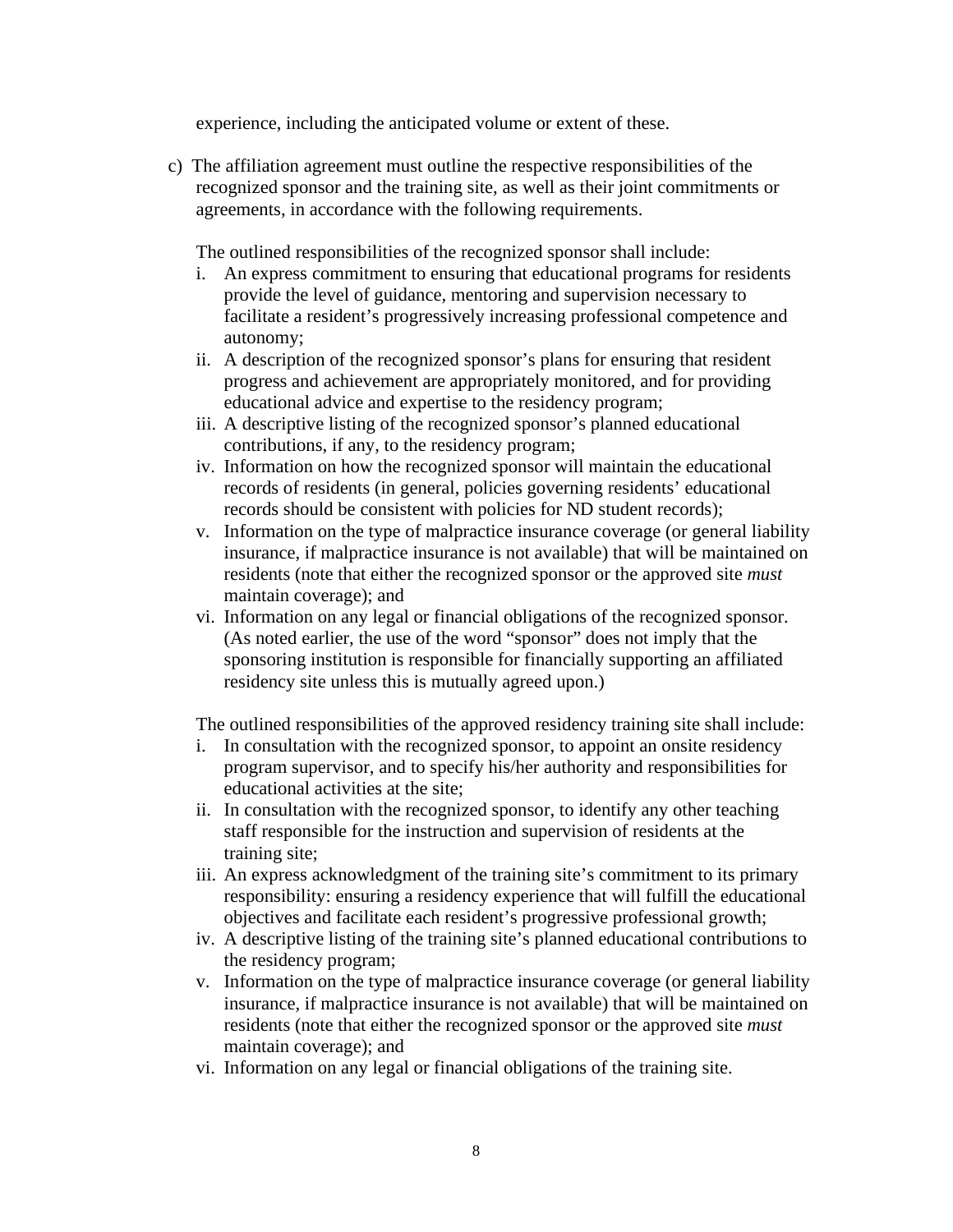experience, including the anticipated volume or extent of these.

c) The affiliation agreement must outline the respective responsibilities of the recognized sponsor and the training site, as well as their joint commitments or agreements, in accordance with the following requirements.

The outlined responsibilities of the recognized sponsor shall include:

- i. An express commitment to ensuring that educational programs for residents provide the level of guidance, mentoring and supervision necessary to facilitate a resident's progressively increasing professional competence and autonomy;
- ii. A description of the recognized sponsor's plans for ensuring that resident progress and achievement are appropriately monitored, and for providing educational advice and expertise to the residency program;
- iii. A descriptive listing of the recognized sponsor's planned educational contributions, if any, to the residency program;
- iv. Information on how the recognized sponsor will maintain the educational records of residents (in general, policies governing residents' educational records should be consistent with policies for ND student records);
- v. Information on the type of malpractice insurance coverage (or general liability insurance, if malpractice insurance is not available) that will be maintained on residents (note that either the recognized sponsor or the approved site *must* maintain coverage); and
- vi. Information on any legal or financial obligations of the recognized sponsor. (As noted earlier, the use of the word "sponsor" does not imply that the sponsoring institution is responsible for financially supporting an affiliated residency site unless this is mutually agreed upon.)

The outlined responsibilities of the approved residency training site shall include:

- i. In consultation with the recognized sponsor, to appoint an onsite residency program supervisor, and to specify his/her authority and responsibilities for educational activities at the site;
- ii. In consultation with the recognized sponsor, to identify any other teaching staff responsible for the instruction and supervision of residents at the training site;
- iii. An express acknowledgment of the training site's commitment to its primary responsibility: ensuring a residency experience that will fulfill the educational objectives and facilitate each resident's progressive professional growth;
- iv. A descriptive listing of the training site's planned educational contributions to the residency program;
- v. Information on the type of malpractice insurance coverage (or general liability insurance, if malpractice insurance is not available) that will be maintained on residents (note that either the recognized sponsor or the approved site *must* maintain coverage); and
- vi. Information on any legal or financial obligations of the training site.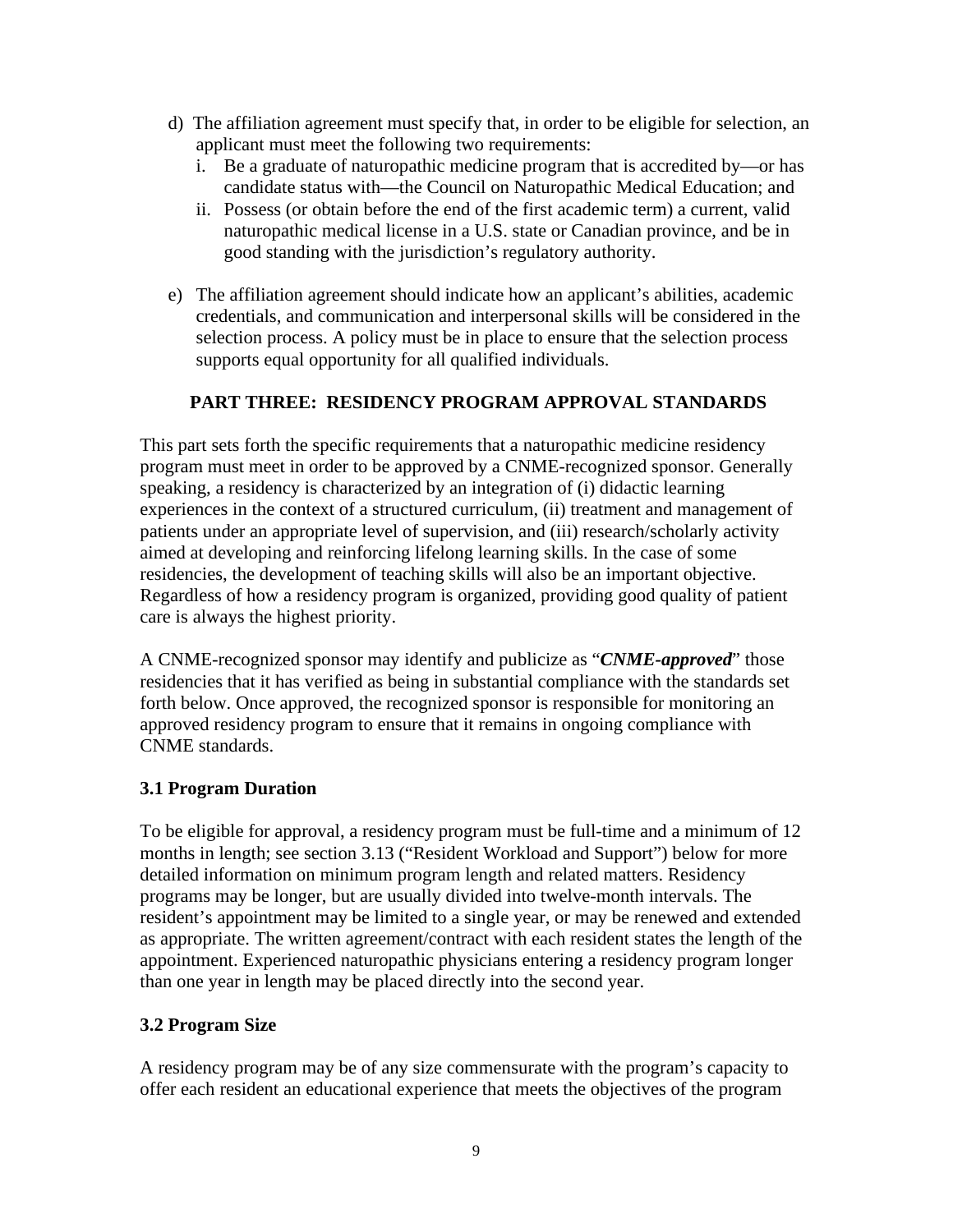- d) The affiliation agreement must specify that, in order to be eligible for selection, an applicant must meet the following two requirements:
	- i. Be a graduate of naturopathic medicine program that is accredited by—or has candidate status with—the Council on Naturopathic Medical Education; and
	- ii. Possess (or obtain before the end of the first academic term) a current, valid naturopathic medical license in a U.S. state or Canadian province, and be in good standing with the jurisdiction's regulatory authority.
- e) The affiliation agreement should indicate how an applicant's abilities, academic credentials, and communication and interpersonal skills will be considered in the selection process. A policy must be in place to ensure that the selection process supports equal opportunity for all qualified individuals.

# **PART THREE: RESIDENCY PROGRAM APPROVAL STANDARDS**

This part sets forth the specific requirements that a naturopathic medicine residency program must meet in order to be approved by a CNME-recognized sponsor. Generally speaking, a residency is characterized by an integration of (i) didactic learning experiences in the context of a structured curriculum, (ii) treatment and management of patients under an appropriate level of supervision, and (iii) research/scholarly activity aimed at developing and reinforcing lifelong learning skills. In the case of some residencies, the development of teaching skills will also be an important objective. Regardless of how a residency program is organized, providing good quality of patient care is always the highest priority.

A CNME-recognized sponsor may identify and publicize as "*CNME-approved*" those residencies that it has verified as being in substantial compliance with the standards set forth below. Once approved, the recognized sponsor is responsible for monitoring an approved residency program to ensure that it remains in ongoing compliance with CNME standards.

#### **3.1 Program Duration**

To be eligible for approval, a residency program must be full-time and a minimum of 12 months in length; see section 3.13 ("Resident Workload and Support") below for more detailed information on minimum program length and related matters. Residency programs may be longer, but are usually divided into twelve-month intervals. The resident's appointment may be limited to a single year, or may be renewed and extended as appropriate. The written agreement/contract with each resident states the length of the appointment. Experienced naturopathic physicians entering a residency program longer than one year in length may be placed directly into the second year.

#### **3.2 Program Size**

A residency program may be of any size commensurate with the program's capacity to offer each resident an educational experience that meets the objectives of the program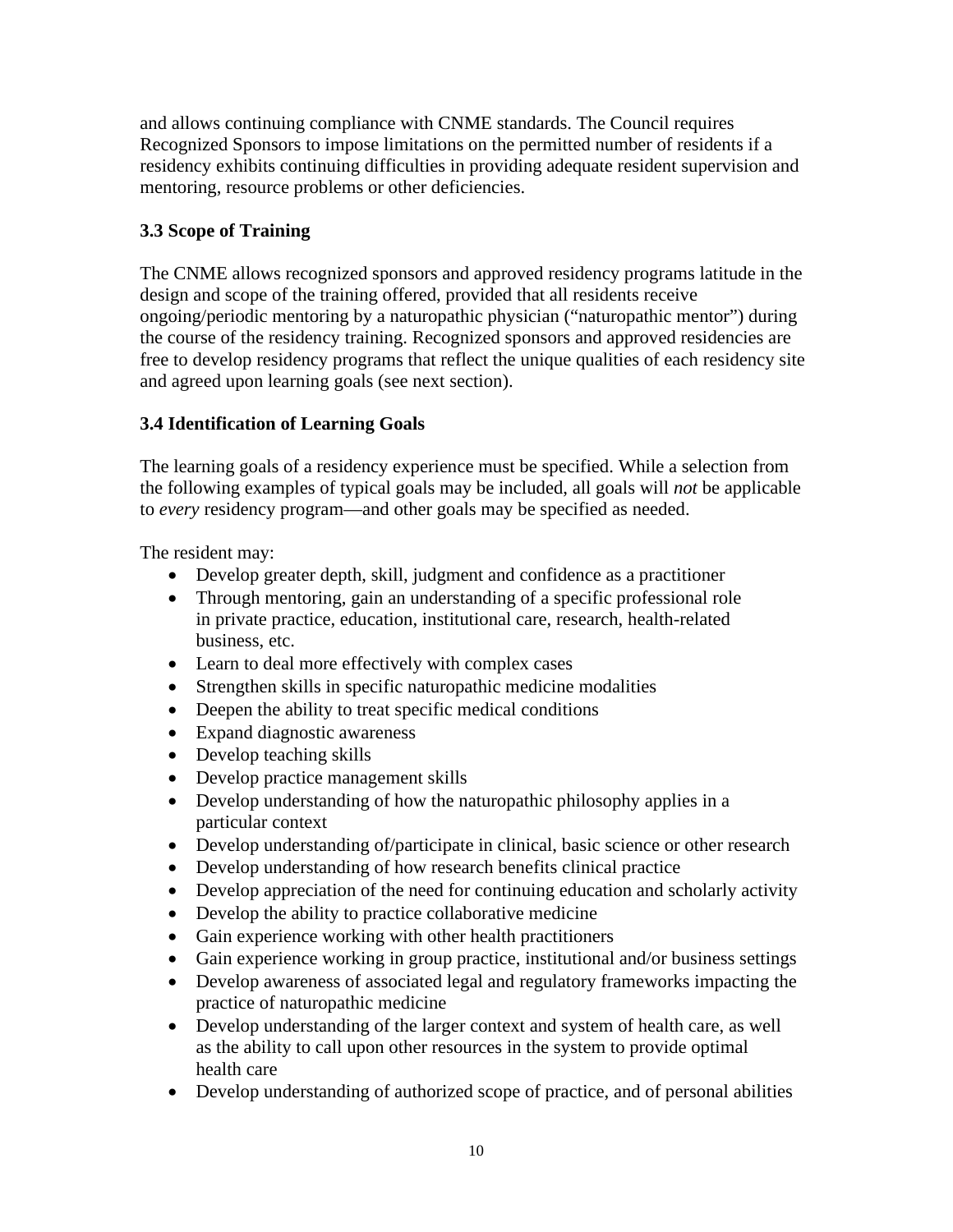and allows continuing compliance with CNME standards. The Council requires Recognized Sponsors to impose limitations on the permitted number of residents if a residency exhibits continuing difficulties in providing adequate resident supervision and mentoring, resource problems or other deficiencies.

# **3.3 Scope of Training**

The CNME allows recognized sponsors and approved residency programs latitude in the design and scope of the training offered, provided that all residents receive ongoing/periodic mentoring by a naturopathic physician ("naturopathic mentor") during the course of the residency training. Recognized sponsors and approved residencies are free to develop residency programs that reflect the unique qualities of each residency site and agreed upon learning goals (see next section).

# **3.4 Identification of Learning Goals**

The learning goals of a residency experience must be specified. While a selection from the following examples of typical goals may be included, all goals will *not* be applicable to *every* residency program—and other goals may be specified as needed.

The resident may:

- Develop greater depth, skill, judgment and confidence as a practitioner
- Through mentoring, gain an understanding of a specific professional role in private practice, education, institutional care, research, health-related business, etc.
- Learn to deal more effectively with complex cases
- Strengthen skills in specific naturopathic medicine modalities
- Deepen the ability to treat specific medical conditions
- Expand diagnostic awareness
- Develop teaching skills
- Develop practice management skills
- Develop understanding of how the naturopathic philosophy applies in a particular context
- Develop understanding of/participate in clinical, basic science or other research
- Develop understanding of how research benefits clinical practice
- Develop appreciation of the need for continuing education and scholarly activity
- Develop the ability to practice collaborative medicine
- Gain experience working with other health practitioners
- Gain experience working in group practice, institutional and/or business settings
- Develop awareness of associated legal and regulatory frameworks impacting the practice of naturopathic medicine
- Develop understanding of the larger context and system of health care, as well as the ability to call upon other resources in the system to provide optimal health care
- Develop understanding of authorized scope of practice, and of personal abilities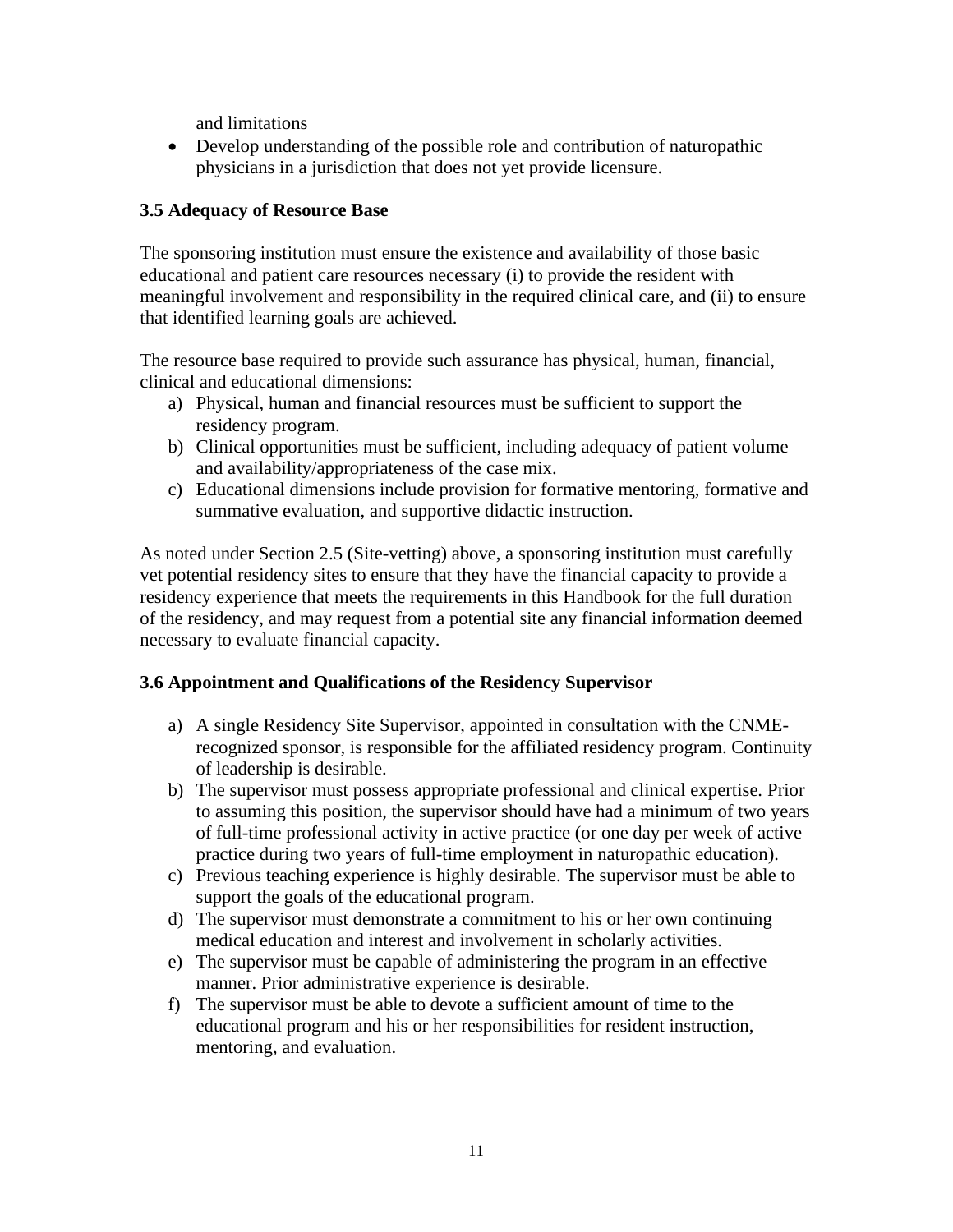and limitations

• Develop understanding of the possible role and contribution of naturopathic physicians in a jurisdiction that does not yet provide licensure.

# **3.5 Adequacy of Resource Base**

The sponsoring institution must ensure the existence and availability of those basic educational and patient care resources necessary (i) to provide the resident with meaningful involvement and responsibility in the required clinical care, and (ii) to ensure that identified learning goals are achieved.

The resource base required to provide such assurance has physical, human, financial, clinical and educational dimensions:

- a) Physical, human and financial resources must be sufficient to support the residency program.
- b) Clinical opportunities must be sufficient, including adequacy of patient volume and availability/appropriateness of the case mix.
- c) Educational dimensions include provision for formative mentoring, formative and summative evaluation, and supportive didactic instruction.

As noted under Section 2.5 (Site-vetting) above, a sponsoring institution must carefully vet potential residency sites to ensure that they have the financial capacity to provide a residency experience that meets the requirements in this Handbook for the full duration of the residency, and may request from a potential site any financial information deemed necessary to evaluate financial capacity.

# **3.6 Appointment and Qualifications of the Residency Supervisor**

- a) A single Residency Site Supervisor, appointed in consultation with the CNMErecognized sponsor, is responsible for the affiliated residency program. Continuity of leadership is desirable.
- b) The supervisor must possess appropriate professional and clinical expertise. Prior to assuming this position, the supervisor should have had a minimum of two years of full-time professional activity in active practice (or one day per week of active practice during two years of full-time employment in naturopathic education).
- c) Previous teaching experience is highly desirable. The supervisor must be able to support the goals of the educational program.
- d) The supervisor must demonstrate a commitment to his or her own continuing medical education and interest and involvement in scholarly activities.
- e) The supervisor must be capable of administering the program in an effective manner. Prior administrative experience is desirable.
- f) The supervisor must be able to devote a sufficient amount of time to the educational program and his or her responsibilities for resident instruction, mentoring, and evaluation.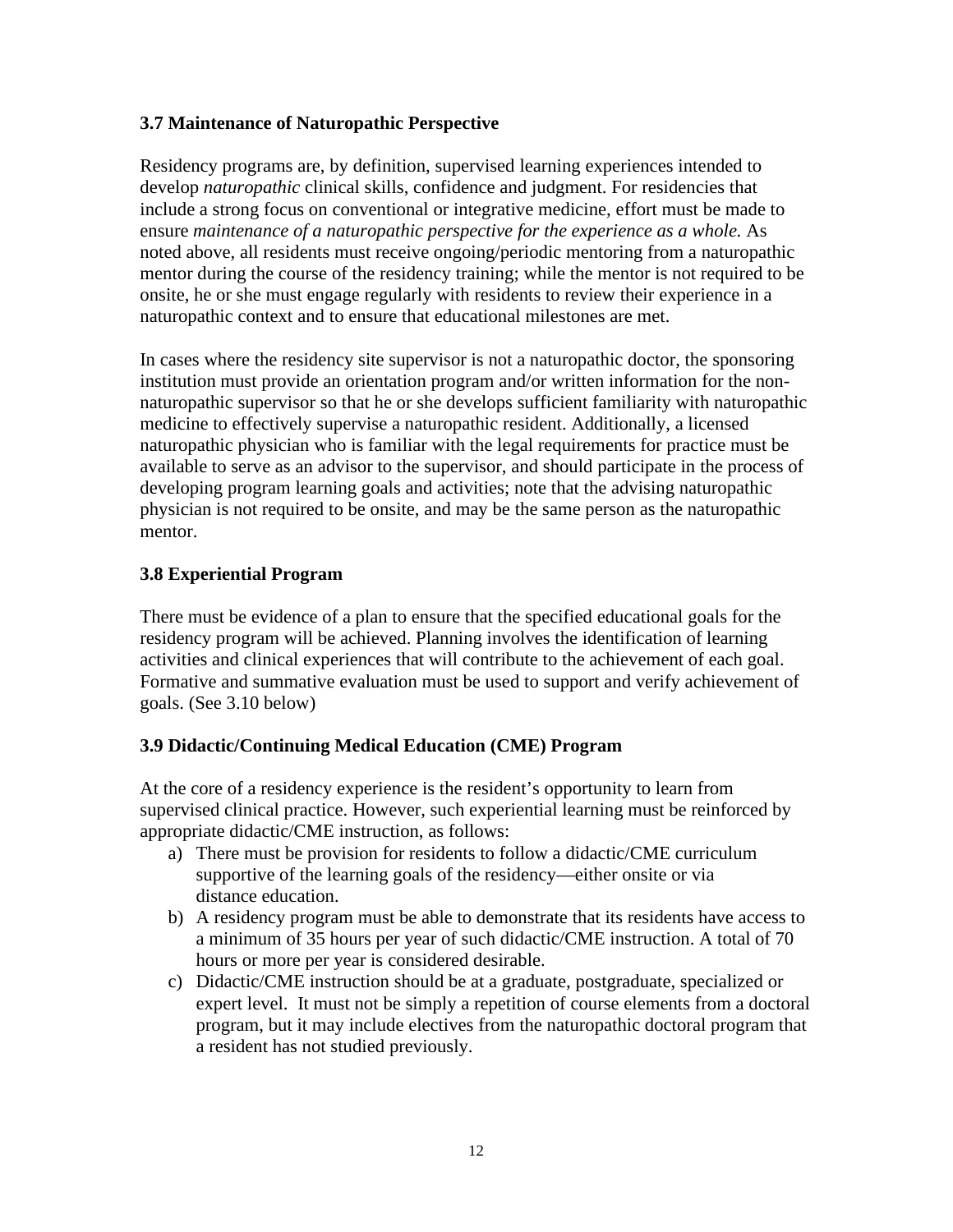#### **3.7 Maintenance of Naturopathic Perspective**

Residency programs are, by definition, supervised learning experiences intended to develop *naturopathic* clinical skills, confidence and judgment. For residencies that include a strong focus on conventional or integrative medicine, effort must be made to ensure *maintenance of a naturopathic perspective for the experience as a whole.* As noted above, all residents must receive ongoing/periodic mentoring from a naturopathic mentor during the course of the residency training; while the mentor is not required to be onsite, he or she must engage regularly with residents to review their experience in a naturopathic context and to ensure that educational milestones are met.

In cases where the residency site supervisor is not a naturopathic doctor, the sponsoring institution must provide an orientation program and/or written information for the nonnaturopathic supervisor so that he or she develops sufficient familiarity with naturopathic medicine to effectively supervise a naturopathic resident. Additionally, a licensed naturopathic physician who is familiar with the legal requirements for practice must be available to serve as an advisor to the supervisor, and should participate in the process of developing program learning goals and activities; note that the advising naturopathic physician is not required to be onsite, and may be the same person as the naturopathic mentor.

# **3.8 Experiential Program**

There must be evidence of a plan to ensure that the specified educational goals for the residency program will be achieved. Planning involves the identification of learning activities and clinical experiences that will contribute to the achievement of each goal. Formative and summative evaluation must be used to support and verify achievement of goals. (See 3.10 below)

# **3.9 Didactic/Continuing Medical Education (CME) Program**

At the core of a residency experience is the resident's opportunity to learn from supervised clinical practice. However, such experiential learning must be reinforced by appropriate didactic/CME instruction, as follows:

- a) There must be provision for residents to follow a didactic/CME curriculum supportive of the learning goals of the residency—either onsite or via distance education.
- b) A residency program must be able to demonstrate that its residents have access to a minimum of 35 hours per year of such didactic/CME instruction. A total of 70 hours or more per year is considered desirable.
- c) Didactic/CME instruction should be at a graduate, postgraduate, specialized or expert level. It must not be simply a repetition of course elements from a doctoral program, but it may include electives from the naturopathic doctoral program that a resident has not studied previously.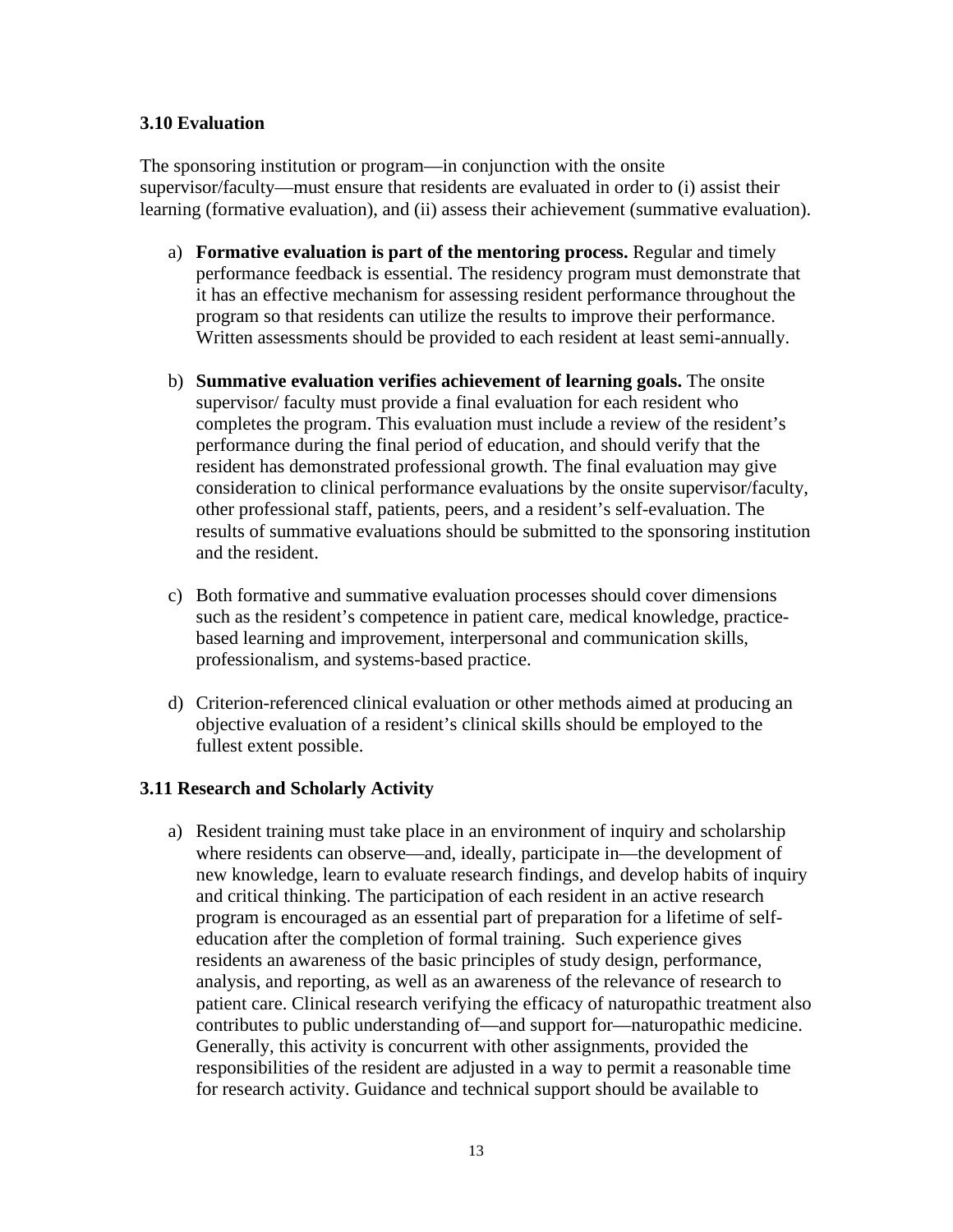#### **3.10 Evaluation**

The sponsoring institution or program—in conjunction with the onsite supervisor/faculty—must ensure that residents are evaluated in order to (i) assist their learning (formative evaluation), and (ii) assess their achievement (summative evaluation).

- a) **Formative evaluation is part of the mentoring process.** Regular and timely performance feedback is essential. The residency program must demonstrate that it has an effective mechanism for assessing resident performance throughout the program so that residents can utilize the results to improve their performance. Written assessments should be provided to each resident at least semi-annually.
- b) **Summative evaluation verifies achievement of learning goals.** The onsite supervisor/ faculty must provide a final evaluation for each resident who completes the program. This evaluation must include a review of the resident's performance during the final period of education, and should verify that the resident has demonstrated professional growth. The final evaluation may give consideration to clinical performance evaluations by the onsite supervisor/faculty, other professional staff, patients, peers, and a resident's self-evaluation. The results of summative evaluations should be submitted to the sponsoring institution and the resident.
- c) Both formative and summative evaluation processes should cover dimensions such as the resident's competence in patient care, medical knowledge, practicebased learning and improvement, interpersonal and communication skills, professionalism, and systems-based practice.
- d) Criterion-referenced clinical evaluation or other methods aimed at producing an objective evaluation of a resident's clinical skills should be employed to the fullest extent possible.

# **3.11 Research and Scholarly Activity**

a) Resident training must take place in an environment of inquiry and scholarship where residents can observe—and, ideally, participate in—the development of new knowledge, learn to evaluate research findings, and develop habits of inquiry and critical thinking. The participation of each resident in an active research program is encouraged as an essential part of preparation for a lifetime of selfeducation after the completion of formal training. Such experience gives residents an awareness of the basic principles of study design, performance, analysis, and reporting, as well as an awareness of the relevance of research to patient care. Clinical research verifying the efficacy of naturopathic treatment also contributes to public understanding of—and support for—naturopathic medicine. Generally, this activity is concurrent with other assignments, provided the responsibilities of the resident are adjusted in a way to permit a reasonable time for research activity. Guidance and technical support should be available to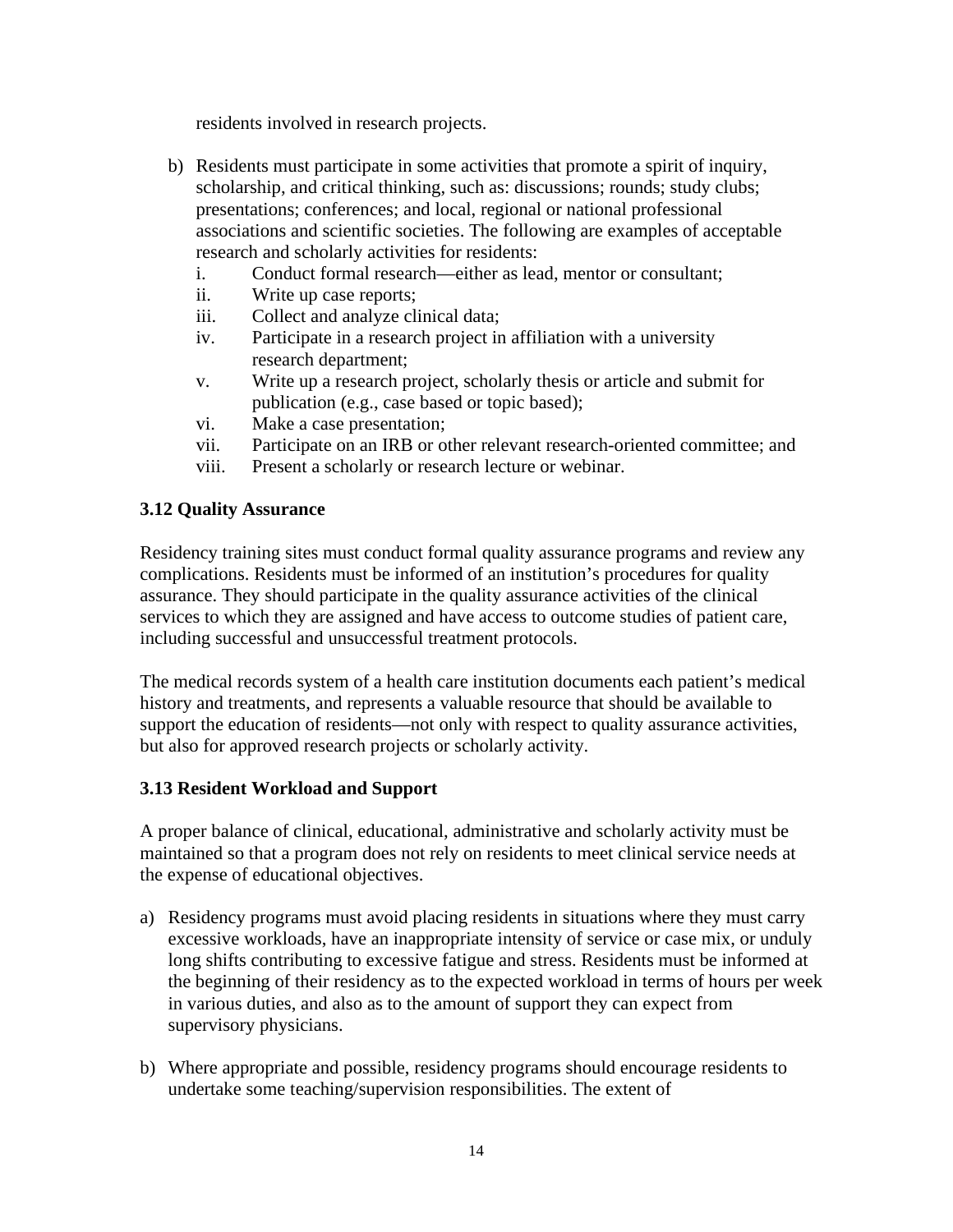residents involved in research projects.

- b) Residents must participate in some activities that promote a spirit of inquiry, scholarship, and critical thinking, such as: discussions; rounds; study clubs; presentations; conferences; and local, regional or national professional associations and scientific societies. The following are examples of acceptable research and scholarly activities for residents:
	- i. Conduct formal research—either as lead, mentor or consultant;
	- ii. Write up case reports;
	- iii. Collect and analyze clinical data;
	- iv. Participate in a research project in affiliation with a university research department;
	- v. Write up a research project, scholarly thesis or article and submit for publication (e.g., case based or topic based);
	- vi. Make a case presentation;
	- vii. Participate on an IRB or other relevant research-oriented committee; and
	- viii. Present a scholarly or research lecture or webinar.

#### **3.12 Quality Assurance**

Residency training sites must conduct formal quality assurance programs and review any complications. Residents must be informed of an institution's procedures for quality assurance. They should participate in the quality assurance activities of the clinical services to which they are assigned and have access to outcome studies of patient care, including successful and unsuccessful treatment protocols.

The medical records system of a health care institution documents each patient's medical history and treatments, and represents a valuable resource that should be available to support the education of residents—not only with respect to quality assurance activities, but also for approved research projects or scholarly activity.

# **3.13 Resident Workload and Support**

A proper balance of clinical, educational, administrative and scholarly activity must be maintained so that a program does not rely on residents to meet clinical service needs at the expense of educational objectives.

- a) Residency programs must avoid placing residents in situations where they must carry excessive workloads, have an inappropriate intensity of service or case mix, or unduly long shifts contributing to excessive fatigue and stress. Residents must be informed at the beginning of their residency as to the expected workload in terms of hours per week in various duties, and also as to the amount of support they can expect from supervisory physicians.
- b) Where appropriate and possible, residency programs should encourage residents to undertake some teaching/supervision responsibilities. The extent of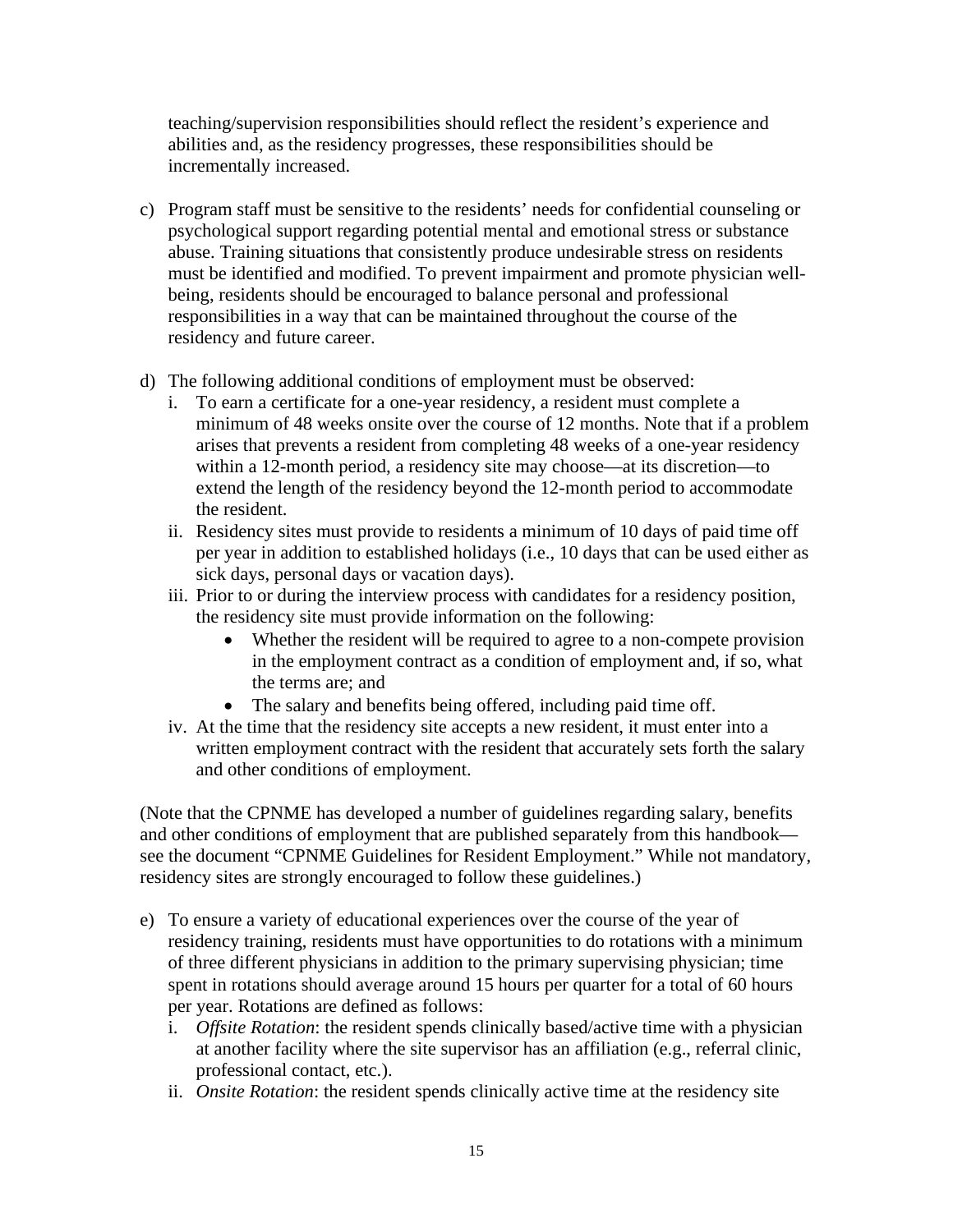teaching/supervision responsibilities should reflect the resident's experience and abilities and, as the residency progresses, these responsibilities should be incrementally increased.

- c) Program staff must be sensitive to the residents' needs for confidential counseling or psychological support regarding potential mental and emotional stress or substance abuse. Training situations that consistently produce undesirable stress on residents must be identified and modified. To prevent impairment and promote physician wellbeing, residents should be encouraged to balance personal and professional responsibilities in a way that can be maintained throughout the course of the residency and future career.
- d) The following additional conditions of employment must be observed:
	- i. To earn a certificate for a one-year residency, a resident must complete a minimum of 48 weeks onsite over the course of 12 months. Note that if a problem arises that prevents a resident from completing 48 weeks of a one-year residency within a 12-month period, a residency site may choose—at its discretion—to extend the length of the residency beyond the 12-month period to accommodate the resident.
	- ii. Residency sites must provide to residents a minimum of 10 days of paid time off per year in addition to established holidays (i.e., 10 days that can be used either as sick days, personal days or vacation days).
	- iii. Prior to or during the interview process with candidates for a residency position, the residency site must provide information on the following:
		- Whether the resident will be required to agree to a non-compete provision in the employment contract as a condition of employment and, if so, what the terms are; and
		- The salary and benefits being offered, including paid time off.
	- iv. At the time that the residency site accepts a new resident, it must enter into a written employment contract with the resident that accurately sets forth the salary and other conditions of employment.

(Note that the CPNME has developed a number of guidelines regarding salary, benefits and other conditions of employment that are published separately from this handbook see the document "CPNME Guidelines for Resident Employment." While not mandatory, residency sites are strongly encouraged to follow these guidelines.)

- e) To ensure a variety of educational experiences over the course of the year of residency training, residents must have opportunities to do rotations with a minimum of three different physicians in addition to the primary supervising physician; time spent in rotations should average around 15 hours per quarter for a total of 60 hours per year. Rotations are defined as follows:
	- i. *Offsite Rotation*: the resident spends clinically based/active time with a physician at another facility where the site supervisor has an affiliation (e.g., referral clinic, professional contact, etc.).
	- ii. *Onsite Rotation*: the resident spends clinically active time at the residency site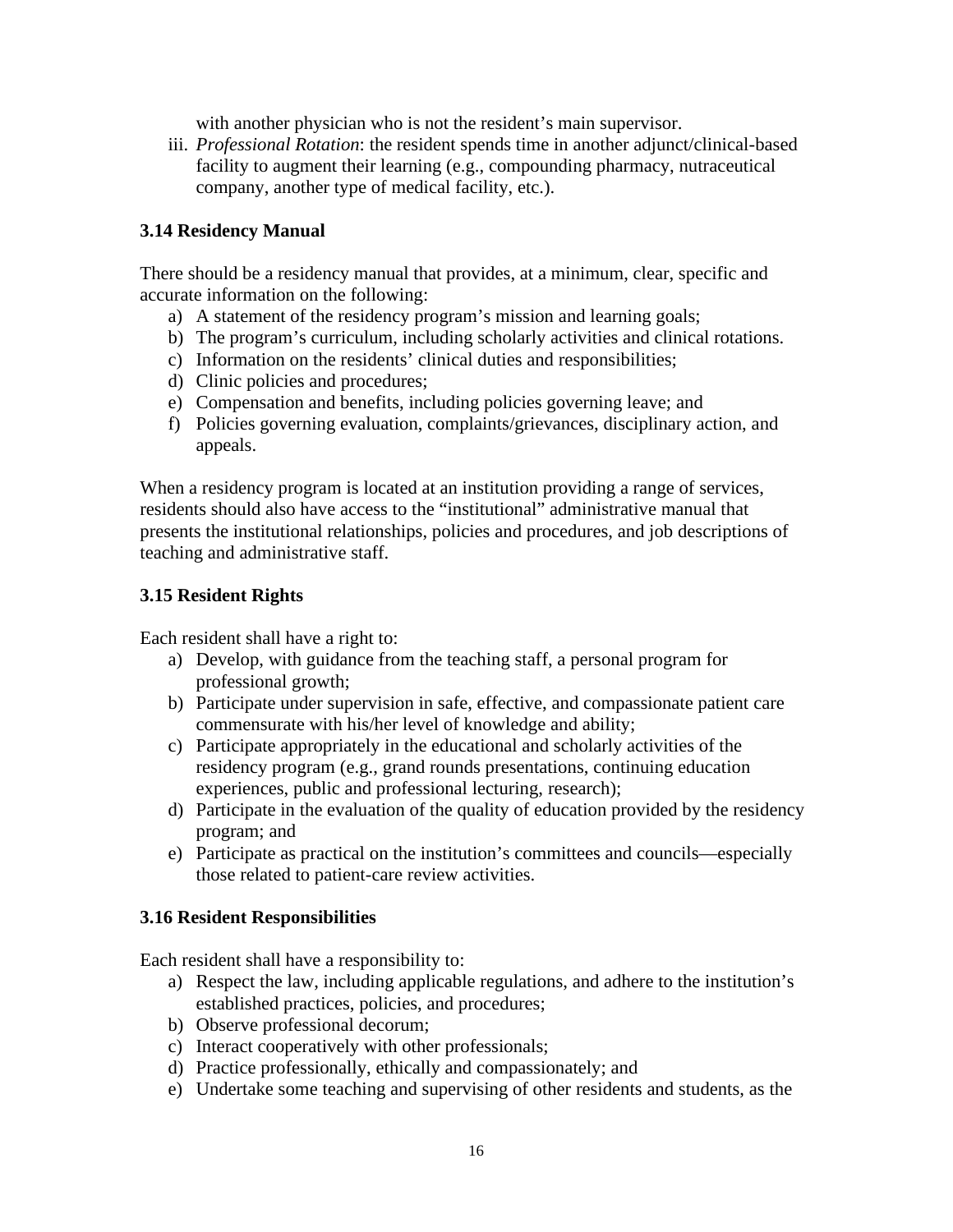with another physician who is not the resident's main supervisor.

iii. *Professional Rotation*: the resident spends time in another adjunct/clinical-based facility to augment their learning (e.g., compounding pharmacy, nutraceutical company, another type of medical facility, etc.).

#### **3.14 Residency Manual**

There should be a residency manual that provides, at a minimum, clear, specific and accurate information on the following:

- a) A statement of the residency program's mission and learning goals;
- b) The program's curriculum, including scholarly activities and clinical rotations.
- c) Information on the residents' clinical duties and responsibilities;
- d) Clinic policies and procedures;
- e) Compensation and benefits, including policies governing leave; and
- f) Policies governing evaluation, complaints/grievances, disciplinary action, and appeals.

When a residency program is located at an institution providing a range of services, residents should also have access to the "institutional" administrative manual that presents the institutional relationships, policies and procedures, and job descriptions of teaching and administrative staff.

#### **3.15 Resident Rights**

Each resident shall have a right to:

- a) Develop, with guidance from the teaching staff, a personal program for professional growth;
- b) Participate under supervision in safe, effective, and compassionate patient care commensurate with his/her level of knowledge and ability;
- c) Participate appropriately in the educational and scholarly activities of the residency program (e.g., grand rounds presentations, continuing education experiences, public and professional lecturing, research);
- d) Participate in the evaluation of the quality of education provided by the residency program; and
- e) Participate as practical on the institution's committees and councils—especially those related to patient-care review activities.

#### **3.16 Resident Responsibilities**

Each resident shall have a responsibility to:

- a) Respect the law, including applicable regulations, and adhere to the institution's established practices, policies, and procedures;
- b) Observe professional decorum;
- c) Interact cooperatively with other professionals;
- d) Practice professionally, ethically and compassionately; and
- e) Undertake some teaching and supervising of other residents and students, as the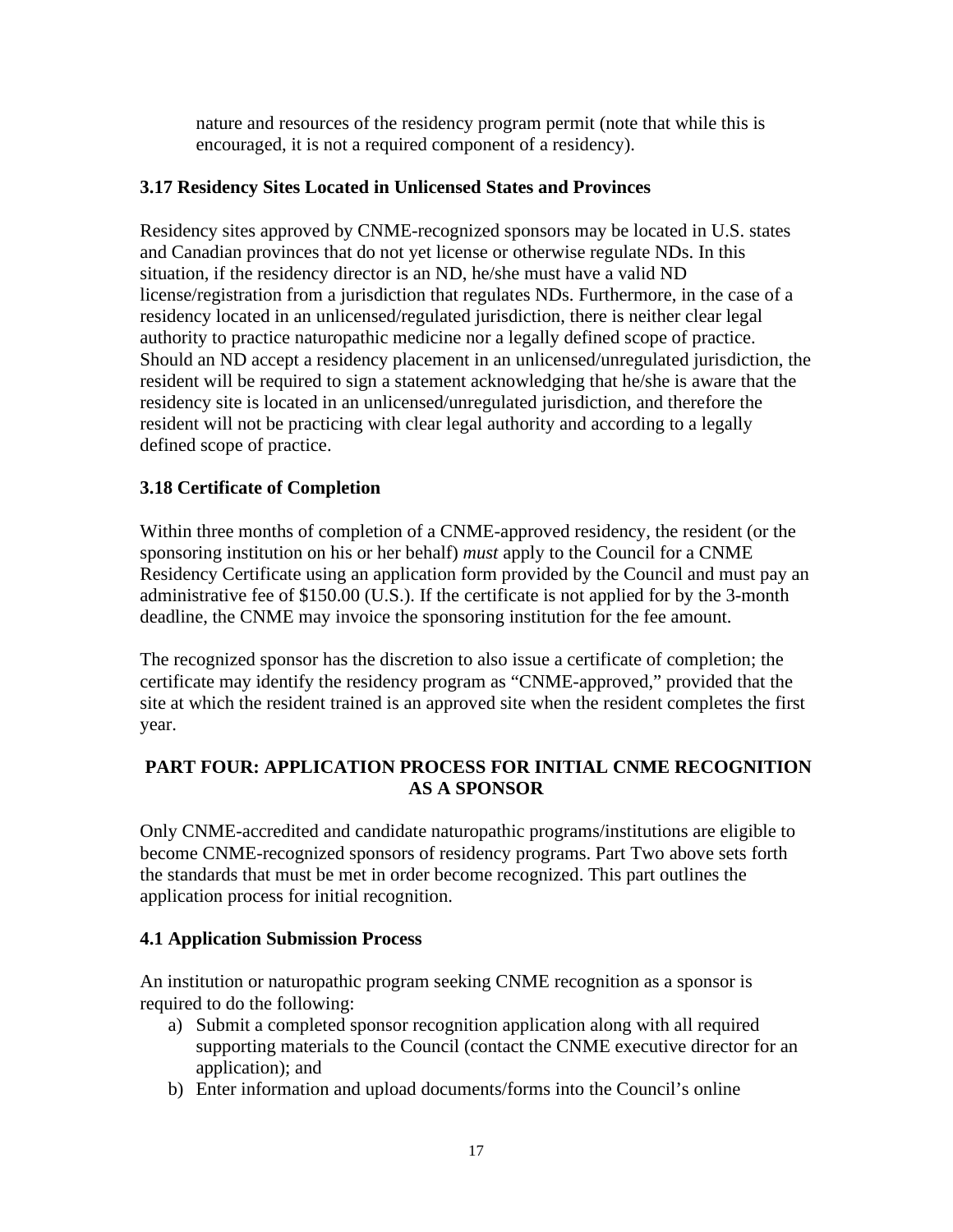nature and resources of the residency program permit (note that while this is encouraged, it is not a required component of a residency).

# **3.17 Residency Sites Located in Unlicensed States and Provinces**

Residency sites approved by CNME-recognized sponsors may be located in U.S. states and Canadian provinces that do not yet license or otherwise regulate NDs. In this situation, if the residency director is an ND, he/she must have a valid ND license/registration from a jurisdiction that regulates NDs. Furthermore, in the case of a residency located in an unlicensed/regulated jurisdiction, there is neither clear legal authority to practice naturopathic medicine nor a legally defined scope of practice. Should an ND accept a residency placement in an unlicensed/unregulated jurisdiction, the resident will be required to sign a statement acknowledging that he/she is aware that the residency site is located in an unlicensed/unregulated jurisdiction, and therefore the resident will not be practicing with clear legal authority and according to a legally defined scope of practice.

# **3.18 Certificate of Completion**

Within three months of completion of a CNME-approved residency, the resident (or the sponsoring institution on his or her behalf) *must* apply to the Council for a CNME Residency Certificate using an application form provided by the Council and must pay an administrative fee of \$150.00 (U.S.). If the certificate is not applied for by the 3-month deadline, the CNME may invoice the sponsoring institution for the fee amount.

The recognized sponsor has the discretion to also issue a certificate of completion; the certificate may identify the residency program as "CNME-approved," provided that the site at which the resident trained is an approved site when the resident completes the first year.

# **PART FOUR: APPLICATION PROCESS FOR INITIAL CNME RECOGNITION AS A SPONSOR**

Only CNME-accredited and candidate naturopathic programs/institutions are eligible to become CNME-recognized sponsors of residency programs. Part Two above sets forth the standards that must be met in order become recognized. This part outlines the application process for initial recognition.

# **4.1 Application Submission Process**

An institution or naturopathic program seeking CNME recognition as a sponsor is required to do the following:

- a) Submit a completed sponsor recognition application along with all required supporting materials to the Council (contact the CNME executive director for an application); and
- b) Enter information and upload documents/forms into the Council's online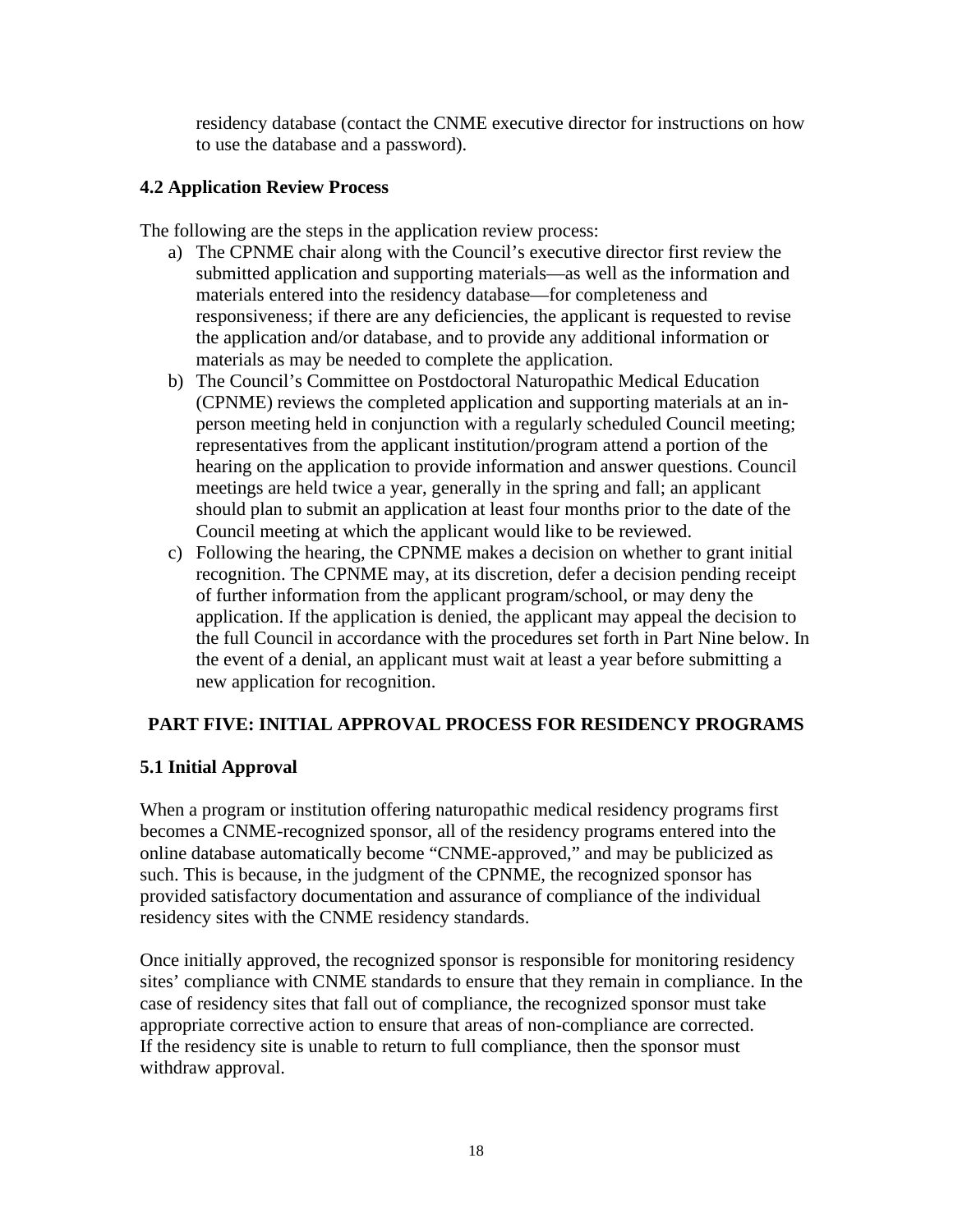residency database (contact the CNME executive director for instructions on how to use the database and a password).

# **4.2 Application Review Process**

The following are the steps in the application review process:

- a) The CPNME chair along with the Council's executive director first review the submitted application and supporting materials—as well as the information and materials entered into the residency database—for completeness and responsiveness; if there are any deficiencies, the applicant is requested to revise the application and/or database, and to provide any additional information or materials as may be needed to complete the application.
- b) The Council's Committee on Postdoctoral Naturopathic Medical Education (CPNME) reviews the completed application and supporting materials at an inperson meeting held in conjunction with a regularly scheduled Council meeting; representatives from the applicant institution/program attend a portion of the hearing on the application to provide information and answer questions. Council meetings are held twice a year, generally in the spring and fall; an applicant should plan to submit an application at least four months prior to the date of the Council meeting at which the applicant would like to be reviewed.
- c) Following the hearing, the CPNME makes a decision on whether to grant initial recognition. The CPNME may, at its discretion, defer a decision pending receipt of further information from the applicant program/school, or may deny the application. If the application is denied, the applicant may appeal the decision to the full Council in accordance with the procedures set forth in Part Nine below. In the event of a denial, an applicant must wait at least a year before submitting a new application for recognition.

# **PART FIVE: INITIAL APPROVAL PROCESS FOR RESIDENCY PROGRAMS**

# **5.1 Initial Approval**

When a program or institution offering naturopathic medical residency programs first becomes a CNME-recognized sponsor, all of the residency programs entered into the online database automatically become "CNME-approved," and may be publicized as such. This is because, in the judgment of the CPNME, the recognized sponsor has provided satisfactory documentation and assurance of compliance of the individual residency sites with the CNME residency standards.

Once initially approved, the recognized sponsor is responsible for monitoring residency sites' compliance with CNME standards to ensure that they remain in compliance. In the case of residency sites that fall out of compliance, the recognized sponsor must take appropriate corrective action to ensure that areas of non-compliance are corrected. If the residency site is unable to return to full compliance, then the sponsor must withdraw approval.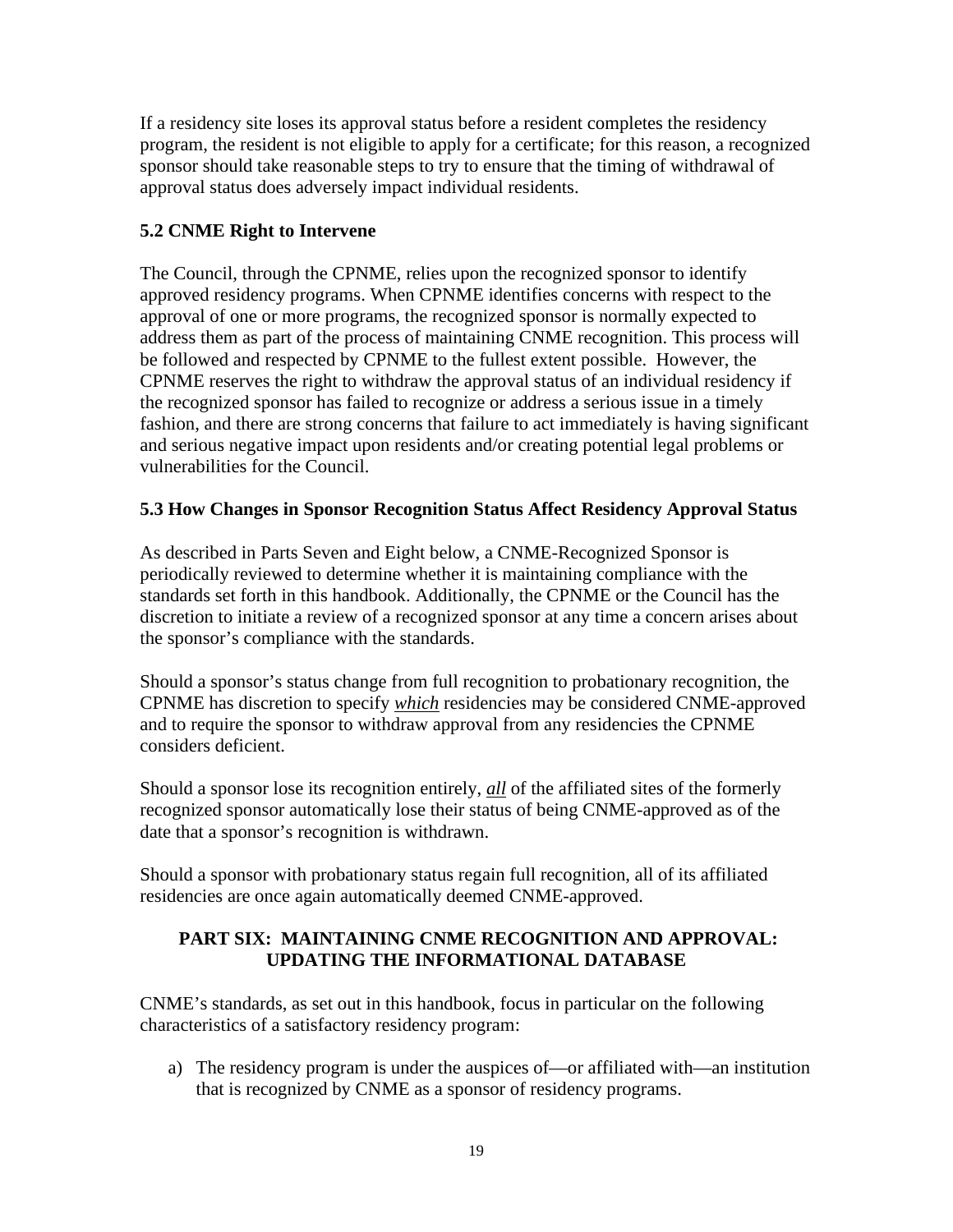If a residency site loses its approval status before a resident completes the residency program, the resident is not eligible to apply for a certificate; for this reason, a recognized sponsor should take reasonable steps to try to ensure that the timing of withdrawal of approval status does adversely impact individual residents.

# **5.2 CNME Right to Intervene**

The Council, through the CPNME, relies upon the recognized sponsor to identify approved residency programs. When CPNME identifies concerns with respect to the approval of one or more programs, the recognized sponsor is normally expected to address them as part of the process of maintaining CNME recognition. This process will be followed and respected by CPNME to the fullest extent possible. However, the CPNME reserves the right to withdraw the approval status of an individual residency if the recognized sponsor has failed to recognize or address a serious issue in a timely fashion, and there are strong concerns that failure to act immediately is having significant and serious negative impact upon residents and/or creating potential legal problems or vulnerabilities for the Council.

# **5.3 How Changes in Sponsor Recognition Status Affect Residency Approval Status**

As described in Parts Seven and Eight below, a CNME-Recognized Sponsor is periodically reviewed to determine whether it is maintaining compliance with the standards set forth in this handbook. Additionally, the CPNME or the Council has the discretion to initiate a review of a recognized sponsor at any time a concern arises about the sponsor's compliance with the standards.

Should a sponsor's status change from full recognition to probationary recognition, the CPNME has discretion to specify *which* residencies may be considered CNME-approved and to require the sponsor to withdraw approval from any residencies the CPNME considers deficient.

Should a sponsor lose its recognition entirely, *all* of the affiliated sites of the formerly recognized sponsor automatically lose their status of being CNME-approved as of the date that a sponsor's recognition is withdrawn.

Should a sponsor with probationary status regain full recognition, all of its affiliated residencies are once again automatically deemed CNME-approved.

# **PART SIX: MAINTAINING CNME RECOGNITION AND APPROVAL: UPDATING THE INFORMATIONAL DATABASE**

CNME's standards, as set out in this handbook, focus in particular on the following characteristics of a satisfactory residency program:

a) The residency program is under the auspices of—or affiliated with—an institution that is recognized by CNME as a sponsor of residency programs.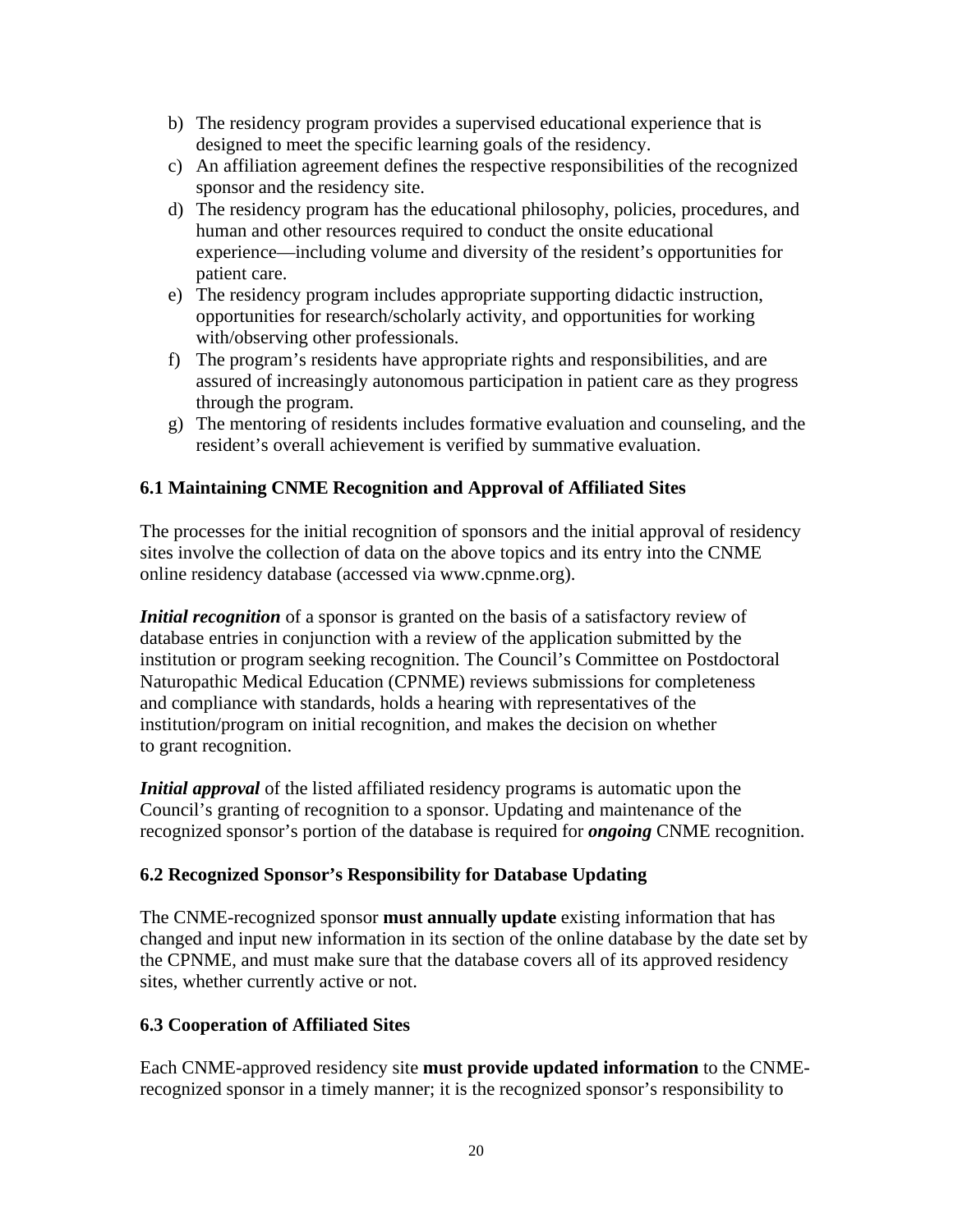- b) The residency program provides a supervised educational experience that is designed to meet the specific learning goals of the residency.
- c) An affiliation agreement defines the respective responsibilities of the recognized sponsor and the residency site.
- d) The residency program has the educational philosophy, policies, procedures, and human and other resources required to conduct the onsite educational experience—including volume and diversity of the resident's opportunities for patient care.
- e) The residency program includes appropriate supporting didactic instruction, opportunities for research/scholarly activity, and opportunities for working with/observing other professionals.
- f) The program's residents have appropriate rights and responsibilities, and are assured of increasingly autonomous participation in patient care as they progress through the program.
- g) The mentoring of residents includes formative evaluation and counseling, and the resident's overall achievement is verified by summative evaluation.

# **6.1 Maintaining CNME Recognition and Approval of Affiliated Sites**

The processes for the initial recognition of sponsors and the initial approval of residency sites involve the collection of data on the above topics and its entry into the CNME online residency database (accessed via [www.cpnme.org\)](http://www.cpnme.org/).

*Initial recognition* of a sponsor is granted on the basis of a satisfactory review of database entries in conjunction with a review of the application submitted by the institution or program seeking recognition. The Council's Committee on Postdoctoral Naturopathic Medical Education (CPNME) reviews submissions for completeness and compliance with standards, holds a hearing with representatives of the institution/program on initial recognition, and makes the decision on whether to grant recognition.

*Initial approval* of the listed affiliated residency programs is automatic upon the Council's granting of recognition to a sponsor. Updating and maintenance of the recognized sponsor's portion of the database is required for *ongoing* CNME recognition.

# **6.2 Recognized Sponsor's Responsibility for Database Updating**

The CNME-recognized sponsor **must annually update** existing information that has changed and input new information in its section of the online database by the date set by the CPNME, and must make sure that the database covers all of its approved residency sites, whether currently active or not.

# **6.3 Cooperation of Affiliated Sites**

Each CNME-approved residency site **must provide updated information** to the CNMErecognized sponsor in a timely manner; it is the recognized sponsor's responsibility to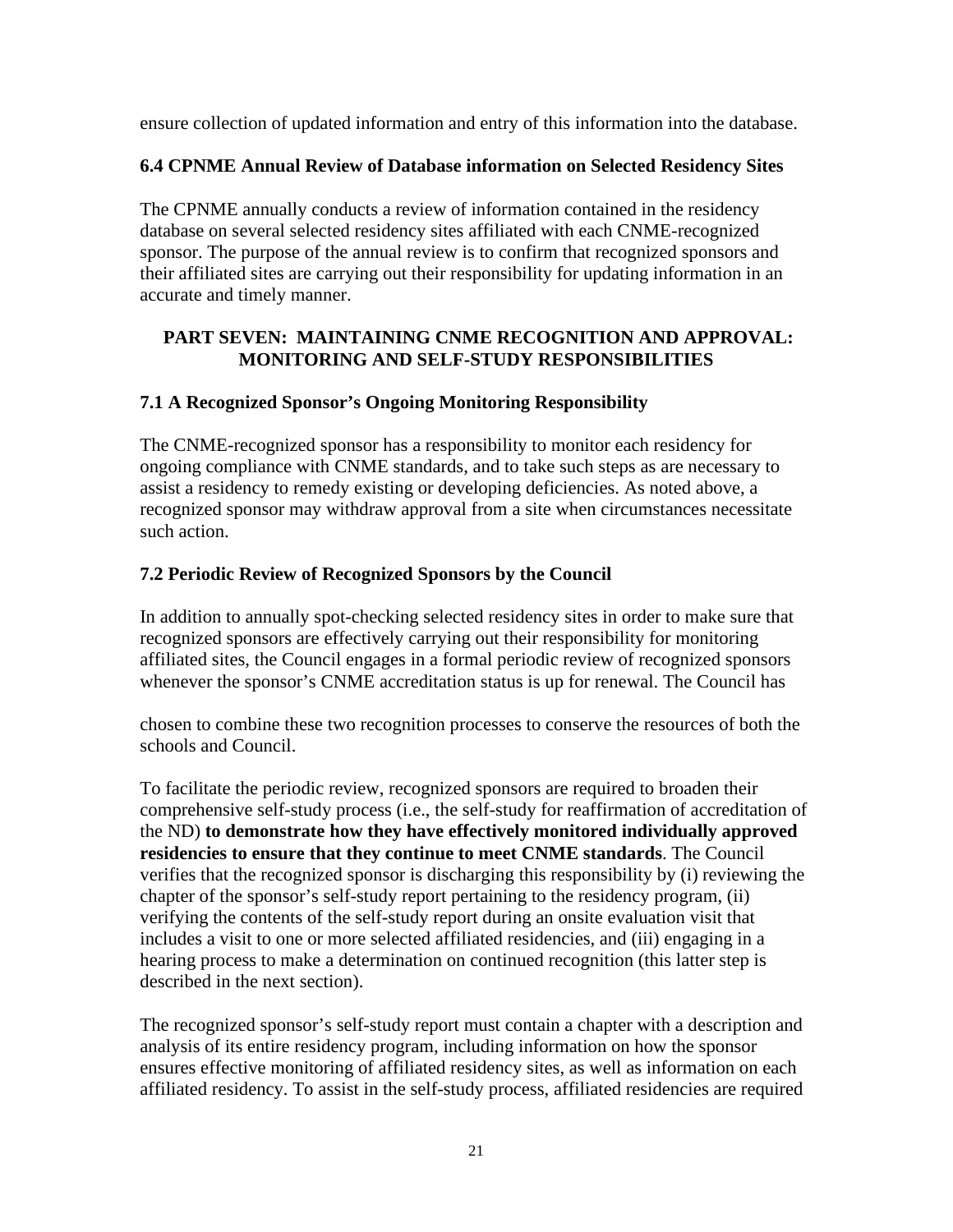ensure collection of updated information and entry of this information into the database.

# **6.4 CPNME Annual Review of Database information on Selected Residency Sites**

The CPNME annually conducts a review of information contained in the residency database on several selected residency sites affiliated with each CNME-recognized sponsor. The purpose of the annual review is to confirm that recognized sponsors and their affiliated sites are carrying out their responsibility for updating information in an accurate and timely manner.

# **PART SEVEN: MAINTAINING CNME RECOGNITION AND APPROVAL: MONITORING AND SELF-STUDY RESPONSIBILITIES**

# **7.1 A Recognized Sponsor's Ongoing Monitoring Responsibility**

The CNME-recognized sponsor has a responsibility to monitor each residency for ongoing compliance with CNME standards, and to take such steps as are necessary to assist a residency to remedy existing or developing deficiencies. As noted above, a recognized sponsor may withdraw approval from a site when circumstances necessitate such action.

# **7.2 Periodic Review of Recognized Sponsors by the Council**

In addition to annually spot-checking selected residency sites in order to make sure that recognized sponsors are effectively carrying out their responsibility for monitoring affiliated sites, the Council engages in a formal periodic review of recognized sponsors whenever the sponsor's CNME accreditation status is up for renewal. The Council has

chosen to combine these two recognition processes to conserve the resources of both the schools and Council.

To facilitate the periodic review, recognized sponsors are required to broaden their comprehensive self-study process (i.e., the self-study for reaffirmation of accreditation of the ND) **to demonstrate how they have effectively monitored individually approved residencies to ensure that they continue to meet CNME standards**. The Council verifies that the recognized sponsor is discharging this responsibility by (i) reviewing the chapter of the sponsor's self-study report pertaining to the residency program, (ii) verifying the contents of the self-study report during an onsite evaluation visit that includes a visit to one or more selected affiliated residencies, and (iii) engaging in a hearing process to make a determination on continued recognition (this latter step is described in the next section).

The recognized sponsor's self-study report must contain a chapter with a description and analysis of its entire residency program, including information on how the sponsor ensures effective monitoring of affiliated residency sites, as well as information on each affiliated residency. To assist in the self-study process, affiliated residencies are required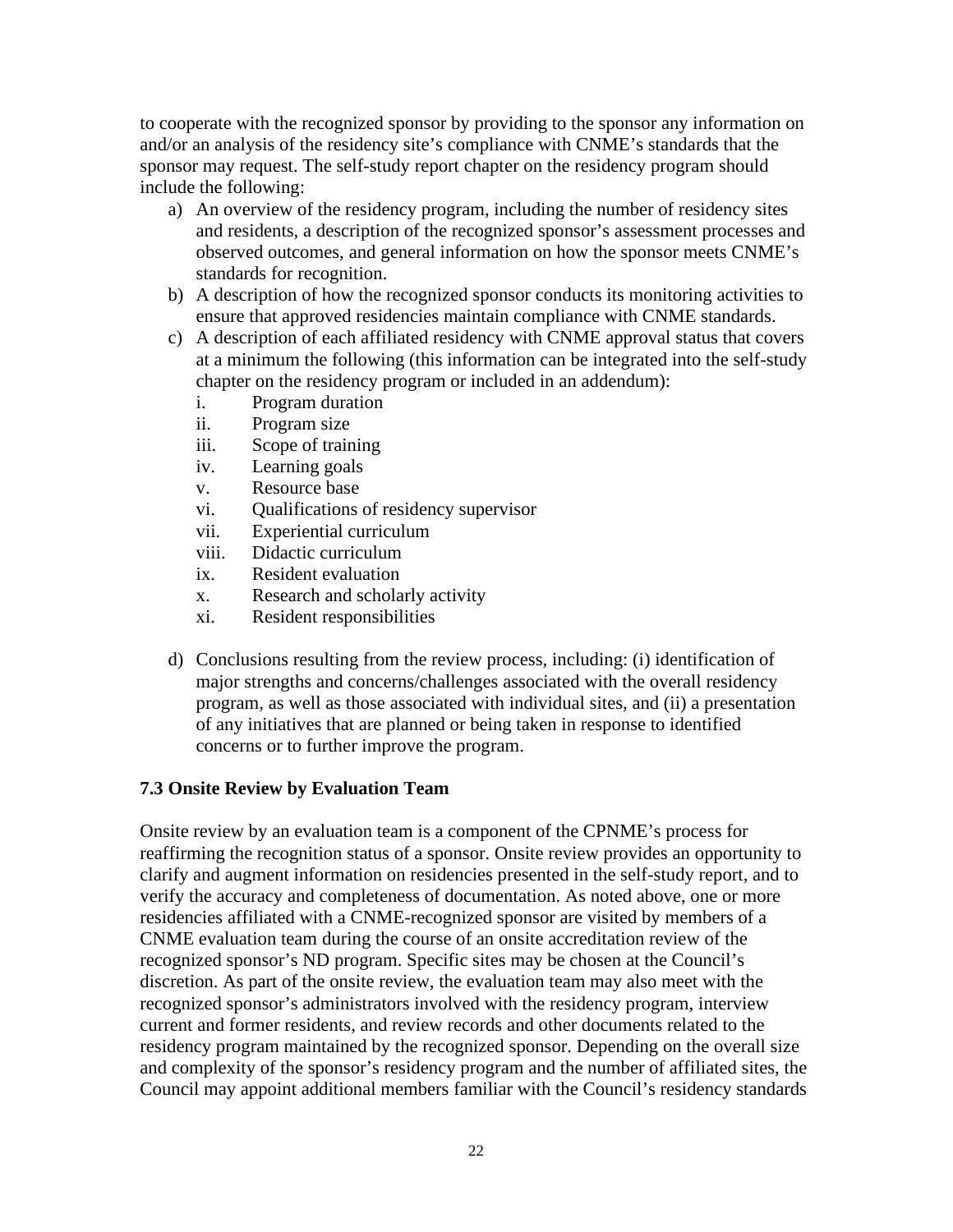to cooperate with the recognized sponsor by providing to the sponsor any information on and/or an analysis of the residency site's compliance with CNME's standards that the sponsor may request. The self-study report chapter on the residency program should include the following:

- a) An overview of the residency program, including the number of residency sites and residents, a description of the recognized sponsor's assessment processes and observed outcomes, and general information on how the sponsor meets CNME's standards for recognition.
- b) A description of how the recognized sponsor conducts its monitoring activities to ensure that approved residencies maintain compliance with CNME standards.
- c) A description of each affiliated residency with CNME approval status that covers at a minimum the following (this information can be integrated into the self-study chapter on the residency program or included in an addendum):
	- i. Program duration
	- ii. Program size
	- iii. Scope of training
	- iv. Learning goals
	- v. Resource base
	- vi. Qualifications of residency supervisor
	- vii. Experiential curriculum
	- viii. Didactic curriculum
	- ix. Resident evaluation
	- x. Research and scholarly activity
	- xi. Resident responsibilities
- d) Conclusions resulting from the review process, including: (i) identification of major strengths and concerns/challenges associated with the overall residency program, as well as those associated with individual sites, and (ii) a presentation of any initiatives that are planned or being taken in response to identified concerns or to further improve the program.

#### **7.3 Onsite Review by Evaluation Team**

Onsite review by an evaluation team is a component of the CPNME's process for reaffirming the recognition status of a sponsor. Onsite review provides an opportunity to clarify and augment information on residencies presented in the self-study report, and to verify the accuracy and completeness of documentation. As noted above, one or more residencies affiliated with a CNME-recognized sponsor are visited by members of a CNME evaluation team during the course of an onsite accreditation review of the recognized sponsor's ND program. Specific sites may be chosen at the Council's discretion. As part of the onsite review, the evaluation team may also meet with the recognized sponsor's administrators involved with the residency program, interview current and former residents, and review records and other documents related to the residency program maintained by the recognized sponsor. Depending on the overall size and complexity of the sponsor's residency program and the number of affiliated sites, the Council may appoint additional members familiar with the Council's residency standards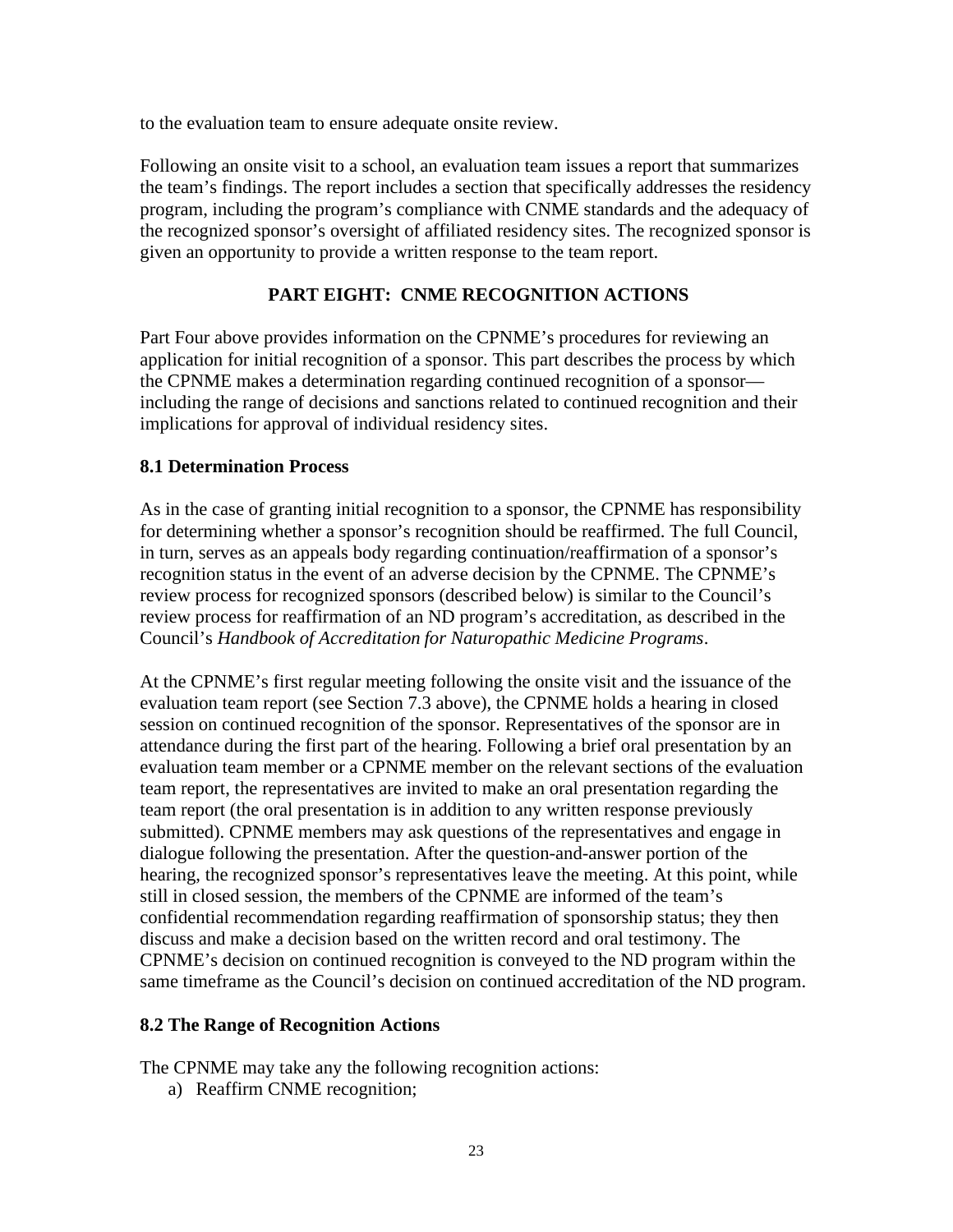to the evaluation team to ensure adequate onsite review.

Following an onsite visit to a school, an evaluation team issues a report that summarizes the team's findings. The report includes a section that specifically addresses the residency program, including the program's compliance with CNME standards and the adequacy of the recognized sponsor's oversight of affiliated residency sites. The recognized sponsor is given an opportunity to provide a written response to the team report.

# **PART EIGHT: CNME RECOGNITION ACTIONS**

Part Four above provides information on the CPNME's procedures for reviewing an application for initial recognition of a sponsor. This part describes the process by which the CPNME makes a determination regarding continued recognition of a sponsor including the range of decisions and sanctions related to continued recognition and their implications for approval of individual residency sites.

#### **8.1 Determination Process**

As in the case of granting initial recognition to a sponsor, the CPNME has responsibility for determining whether a sponsor's recognition should be reaffirmed. The full Council, in turn, serves as an appeals body regarding continuation/reaffirmation of a sponsor's recognition status in the event of an adverse decision by the CPNME. The CPNME's review process for recognized sponsors (described below) is similar to the Council's review process for reaffirmation of an ND program's accreditation, as described in the Council's *Handbook of Accreditation for Naturopathic Medicine Programs*.

At the CPNME's first regular meeting following the onsite visit and the issuance of the evaluation team report (see Section 7.3 above), the CPNME holds a hearing in closed session on continued recognition of the sponsor. Representatives of the sponsor are in attendance during the first part of the hearing. Following a brief oral presentation by an evaluation team member or a CPNME member on the relevant sections of the evaluation team report, the representatives are invited to make an oral presentation regarding the team report (the oral presentation is in addition to any written response previously submitted). CPNME members may ask questions of the representatives and engage in dialogue following the presentation. After the question-and-answer portion of the hearing, the recognized sponsor's representatives leave the meeting. At this point, while still in closed session, the members of the CPNME are informed of the team's confidential recommendation regarding reaffirmation of sponsorship status; they then discuss and make a decision based on the written record and oral testimony. The CPNME's decision on continued recognition is conveyed to the ND program within the same timeframe as the Council's decision on continued accreditation of the ND program.

# **8.2 The Range of Recognition Actions**

The CPNME may take any the following recognition actions:

a) Reaffirm CNME recognition;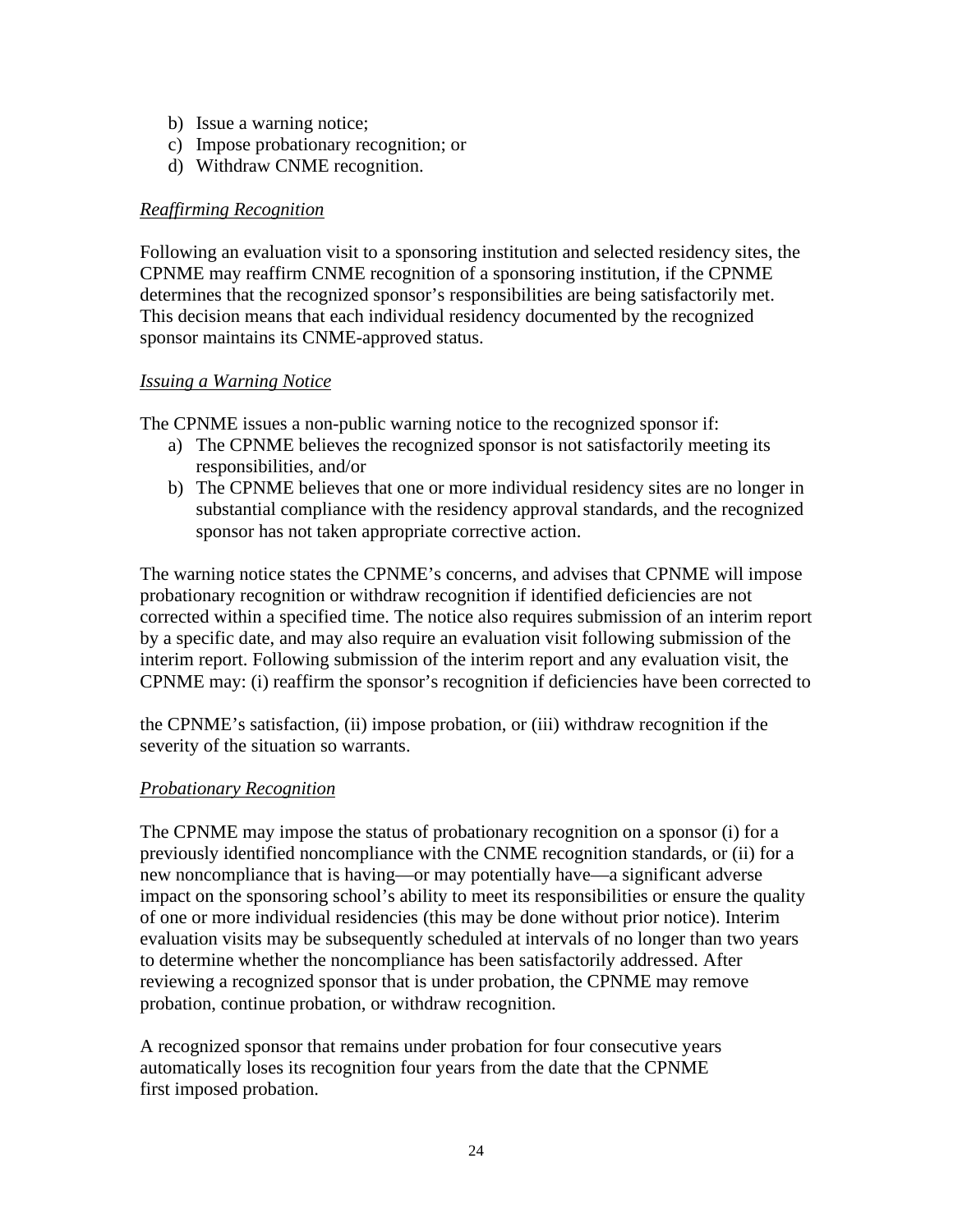- b) Issue a warning notice;
- c) Impose probationary recognition; or
- d) Withdraw CNME recognition.

#### *Reaffirming Recognition*

Following an evaluation visit to a sponsoring institution and selected residency sites, the CPNME may reaffirm CNME recognition of a sponsoring institution, if the CPNME determines that the recognized sponsor's responsibilities are being satisfactorily met. This decision means that each individual residency documented by the recognized sponsor maintains its CNME-approved status.

#### *Issuing a Warning Notice*

The CPNME issues a non-public warning notice to the recognized sponsor if:

- a) The CPNME believes the recognized sponsor is not satisfactorily meeting its responsibilities, and/or
- b) The CPNME believes that one or more individual residency sites are no longer in substantial compliance with the residency approval standards, and the recognized sponsor has not taken appropriate corrective action.

The warning notice states the CPNME's concerns, and advises that CPNME will impose probationary recognition or withdraw recognition if identified deficiencies are not corrected within a specified time. The notice also requires submission of an interim report by a specific date, and may also require an evaluation visit following submission of the interim report. Following submission of the interim report and any evaluation visit, the CPNME may: (i) reaffirm the sponsor's recognition if deficiencies have been corrected to

the CPNME's satisfaction, (ii) impose probation, or (iii) withdraw recognition if the severity of the situation so warrants.

#### *Probationary Recognition*

The CPNME may impose the status of probationary recognition on a sponsor (i) for a previously identified noncompliance with the CNME recognition standards, or (ii) for a new noncompliance that is having—or may potentially have—a significant adverse impact on the sponsoring school's ability to meet its responsibilities or ensure the quality of one or more individual residencies (this may be done without prior notice). Interim evaluation visits may be subsequently scheduled at intervals of no longer than two years to determine whether the noncompliance has been satisfactorily addressed. After reviewing a recognized sponsor that is under probation, the CPNME may remove probation, continue probation, or withdraw recognition.

A recognized sponsor that remains under probation for four consecutive years automatically loses its recognition four years from the date that the CPNME first imposed probation.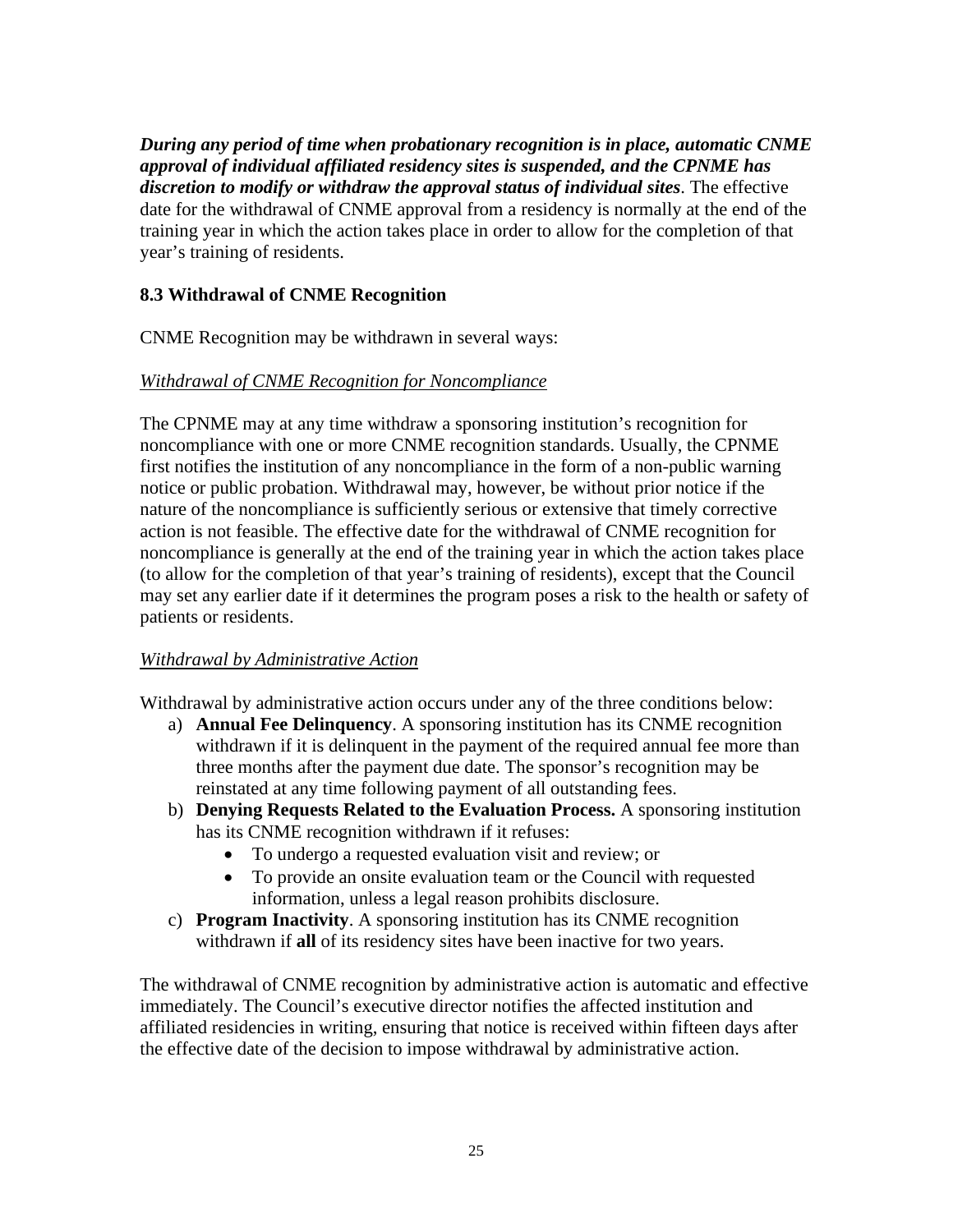*During any period of time when probationary recognition is in place, automatic CNME approval of individual affiliated residency sites is suspended, and the CPNME has discretion to modify or withdraw the approval status of individual sites*. The effective date for the withdrawal of CNME approval from a residency is normally at the end of the training year in which the action takes place in order to allow for the completion of that year's training of residents.

# **8.3 Withdrawal of CNME Recognition**

CNME Recognition may be withdrawn in several ways:

# *Withdrawal of CNME Recognition for Noncompliance*

The CPNME may at any time withdraw a sponsoring institution's recognition for noncompliance with one or more CNME recognition standards. Usually, the CPNME first notifies the institution of any noncompliance in the form of a non-public warning notice or public probation. Withdrawal may, however, be without prior notice if the nature of the noncompliance is sufficiently serious or extensive that timely corrective action is not feasible. The effective date for the withdrawal of CNME recognition for noncompliance is generally at the end of the training year in which the action takes place (to allow for the completion of that year's training of residents), except that the Council may set any earlier date if it determines the program poses a risk to the health or safety of patients or residents.

# *Withdrawal by Administrative Action*

Withdrawal by administrative action occurs under any of the three conditions below:

- a) **Annual Fee Delinquency**. A sponsoring institution has its CNME recognition withdrawn if it is delinquent in the payment of the required annual fee more than three months after the payment due date. The sponsor's recognition may be reinstated at any time following payment of all outstanding fees.
- b) **Denying Requests Related to the Evaluation Process.** A sponsoring institution has its CNME recognition withdrawn if it refuses:
	- To undergo a requested evaluation visit and review; or
	- To provide an onsite evaluation team or the Council with requested information, unless a legal reason prohibits disclosure.
- c) **Program Inactivity**. A sponsoring institution has its CNME recognition withdrawn if **all** of its residency sites have been inactive for two years.

The withdrawal of CNME recognition by administrative action is automatic and effective immediately. The Council's executive director notifies the affected institution and affiliated residencies in writing, ensuring that notice is received within fifteen days after the effective date of the decision to impose withdrawal by administrative action.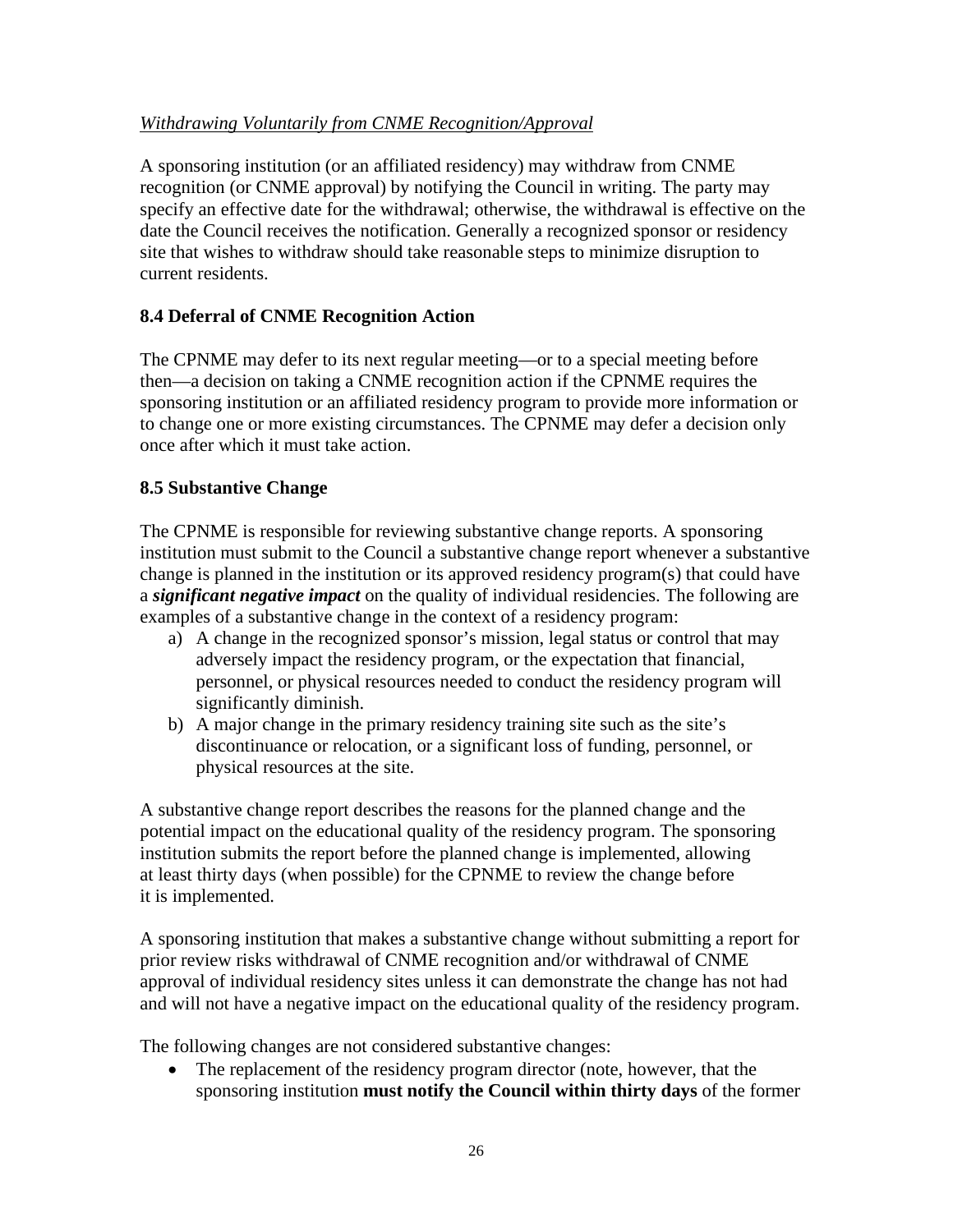# *Withdrawing Voluntarily from CNME Recognition/Approval*

A sponsoring institution (or an affiliated residency) may withdraw from CNME recognition (or CNME approval) by notifying the Council in writing. The party may specify an effective date for the withdrawal; otherwise, the withdrawal is effective on the date the Council receives the notification. Generally a recognized sponsor or residency site that wishes to withdraw should take reasonable steps to minimize disruption to current residents.

# **8.4 Deferral of CNME Recognition Action**

The CPNME may defer to its next regular meeting—or to a special meeting before then—a decision on taking a CNME recognition action if the CPNME requires the sponsoring institution or an affiliated residency program to provide more information or to change one or more existing circumstances. The CPNME may defer a decision only once after which it must take action.

#### **8.5 Substantive Change**

The CPNME is responsible for reviewing substantive change reports. A sponsoring institution must submit to the Council a substantive change report whenever a substantive change is planned in the institution or its approved residency program(s) that could have a *significant negative impact* on the quality of individual residencies. The following are examples of a substantive change in the context of a residency program:

- a) A change in the recognized sponsor's mission, legal status or control that may adversely impact the residency program, or the expectation that financial, personnel, or physical resources needed to conduct the residency program will significantly diminish.
- b) A major change in the primary residency training site such as the site's discontinuance or relocation, or a significant loss of funding, personnel, or physical resources at the site.

A substantive change report describes the reasons for the planned change and the potential impact on the educational quality of the residency program. The sponsoring institution submits the report before the planned change is implemented, allowing at least thirty days (when possible) for the CPNME to review the change before it is implemented.

A sponsoring institution that makes a substantive change without submitting a report for prior review risks withdrawal of CNME recognition and/or withdrawal of CNME approval of individual residency sites unless it can demonstrate the change has not had and will not have a negative impact on the educational quality of the residency program.

The following changes are not considered substantive changes:

The replacement of the residency program director (note, however, that the sponsoring institution **must notify the Council within thirty days** of the former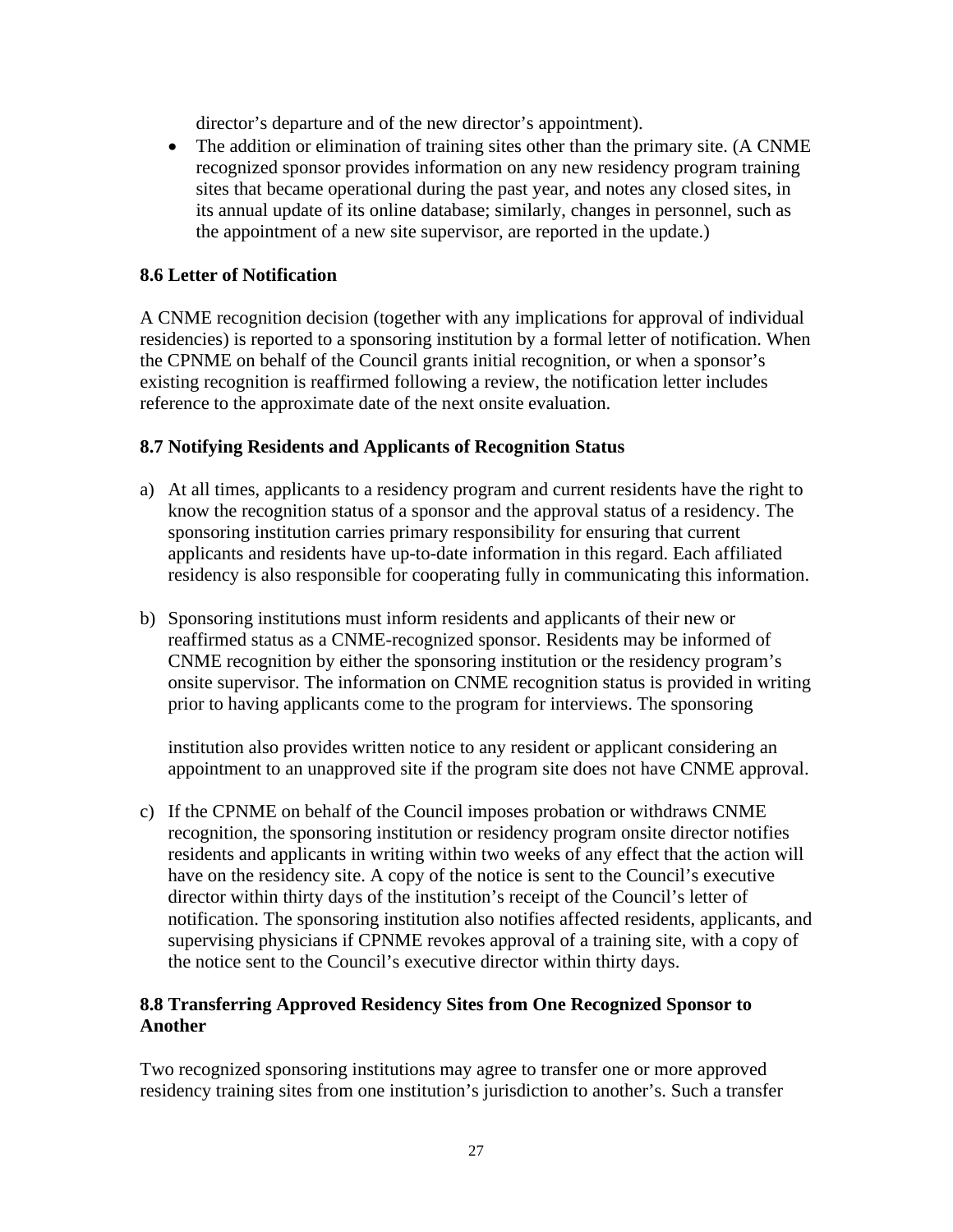director's departure and of the new director's appointment).

• The addition or elimination of training sites other than the primary site. (A CNME recognized sponsor provides information on any new residency program training sites that became operational during the past year, and notes any closed sites, in its annual update of its online database; similarly, changes in personnel, such as the appointment of a new site supervisor, are reported in the update.)

#### **8.6 Letter of Notification**

A CNME recognition decision (together with any implications for approval of individual residencies) is reported to a sponsoring institution by a formal letter of notification. When the CPNME on behalf of the Council grants initial recognition, or when a sponsor's existing recognition is reaffirmed following a review, the notification letter includes reference to the approximate date of the next onsite evaluation.

#### **8.7 Notifying Residents and Applicants of Recognition Status**

- a) At all times, applicants to a residency program and current residents have the right to know the recognition status of a sponsor and the approval status of a residency. The sponsoring institution carries primary responsibility for ensuring that current applicants and residents have up-to-date information in this regard. Each affiliated residency is also responsible for cooperating fully in communicating this information.
- b) Sponsoring institutions must inform residents and applicants of their new or reaffirmed status as a CNME-recognized sponsor. Residents may be informed of CNME recognition by either the sponsoring institution or the residency program's onsite supervisor. The information on CNME recognition status is provided in writing prior to having applicants come to the program for interviews. The sponsoring

institution also provides written notice to any resident or applicant considering an appointment to an unapproved site if the program site does not have CNME approval.

c) If the CPNME on behalf of the Council imposes probation or withdraws CNME recognition, the sponsoring institution or residency program onsite director notifies residents and applicants in writing within two weeks of any effect that the action will have on the residency site. A copy of the notice is sent to the Council's executive director within thirty days of the institution's receipt of the Council's letter of notification. The sponsoring institution also notifies affected residents, applicants, and supervising physicians if CPNME revokes approval of a training site, with a copy of the notice sent to the Council's executive director within thirty days.

# **8.8 Transferring Approved Residency Sites from One Recognized Sponsor to Another**

Two recognized sponsoring institutions may agree to transfer one or more approved residency training sites from one institution's jurisdiction to another's. Such a transfer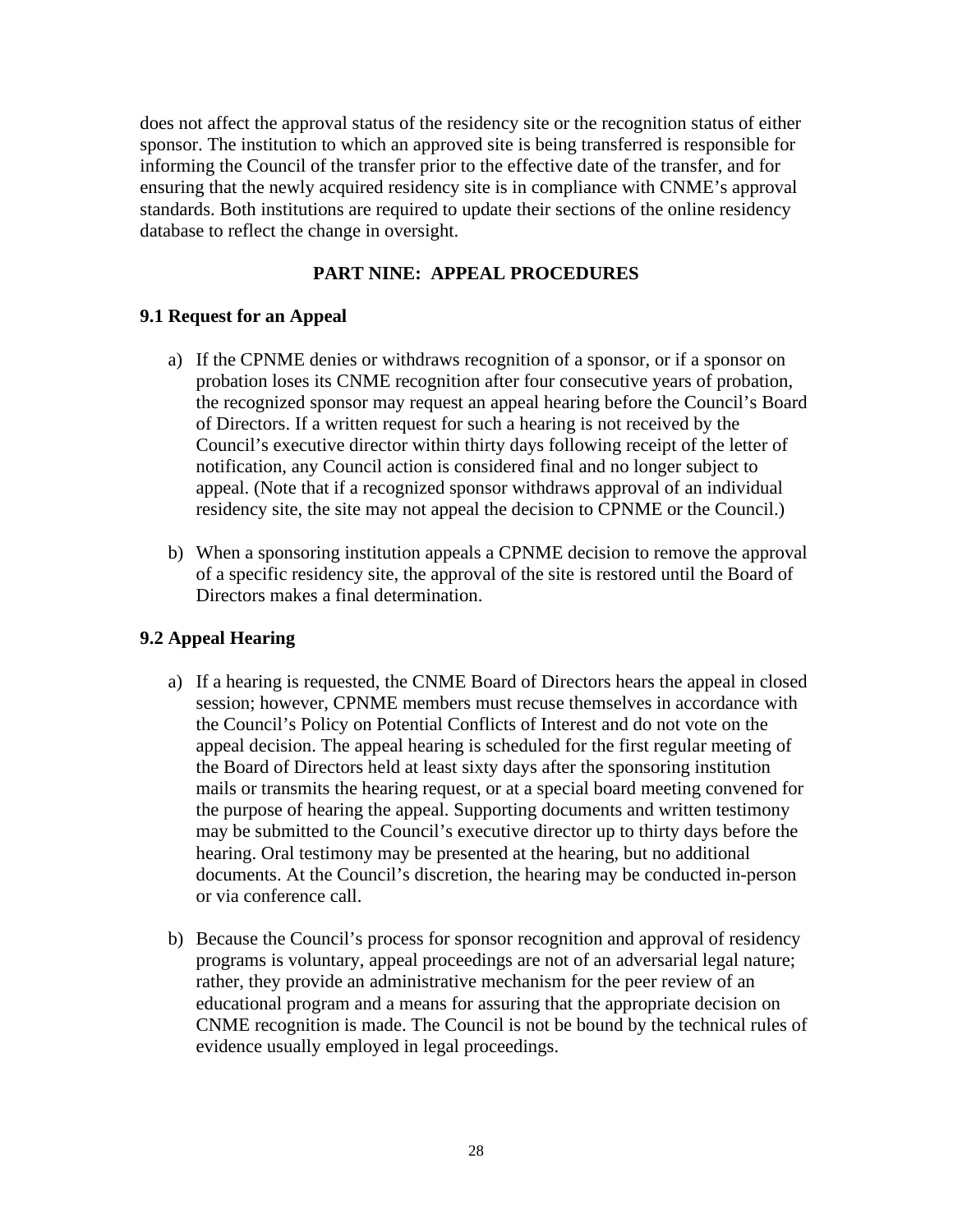does not affect the approval status of the residency site or the recognition status of either sponsor. The institution to which an approved site is being transferred is responsible for informing the Council of the transfer prior to the effective date of the transfer, and for ensuring that the newly acquired residency site is in compliance with CNME's approval standards. Both institutions are required to update their sections of the online residency database to reflect the change in oversight.

# **PART NINE: APPEAL PROCEDURES**

#### **9.1 Request for an Appeal**

- a) If the CPNME denies or withdraws recognition of a sponsor, or if a sponsor on probation loses its CNME recognition after four consecutive years of probation, the recognized sponsor may request an appeal hearing before the Council's Board of Directors. If a written request for such a hearing is not received by the Council's executive director within thirty days following receipt of the letter of notification, any Council action is considered final and no longer subject to appeal. (Note that if a recognized sponsor withdraws approval of an individual residency site, the site may not appeal the decision to CPNME or the Council.)
- b) When a sponsoring institution appeals a CPNME decision to remove the approval of a specific residency site, the approval of the site is restored until the Board of Directors makes a final determination.

#### **9.2 Appeal Hearing**

- a) If a hearing is requested, the CNME Board of Directors hears the appeal in closed session; however, CPNME members must recuse themselves in accordance with the Council's Policy on Potential Conflicts of Interest and do not vote on the appeal decision. The appeal hearing is scheduled for the first regular meeting of the Board of Directors held at least sixty days after the sponsoring institution mails or transmits the hearing request, or at a special board meeting convened for the purpose of hearing the appeal. Supporting documents and written testimony may be submitted to the Council's executive director up to thirty days before the hearing. Oral testimony may be presented at the hearing, but no additional documents. At the Council's discretion, the hearing may be conducted in-person or via conference call.
- b) Because the Council's process for sponsor recognition and approval of residency programs is voluntary, appeal proceedings are not of an adversarial legal nature; rather, they provide an administrative mechanism for the peer review of an educational program and a means for assuring that the appropriate decision on CNME recognition is made. The Council is not be bound by the technical rules of evidence usually employed in legal proceedings.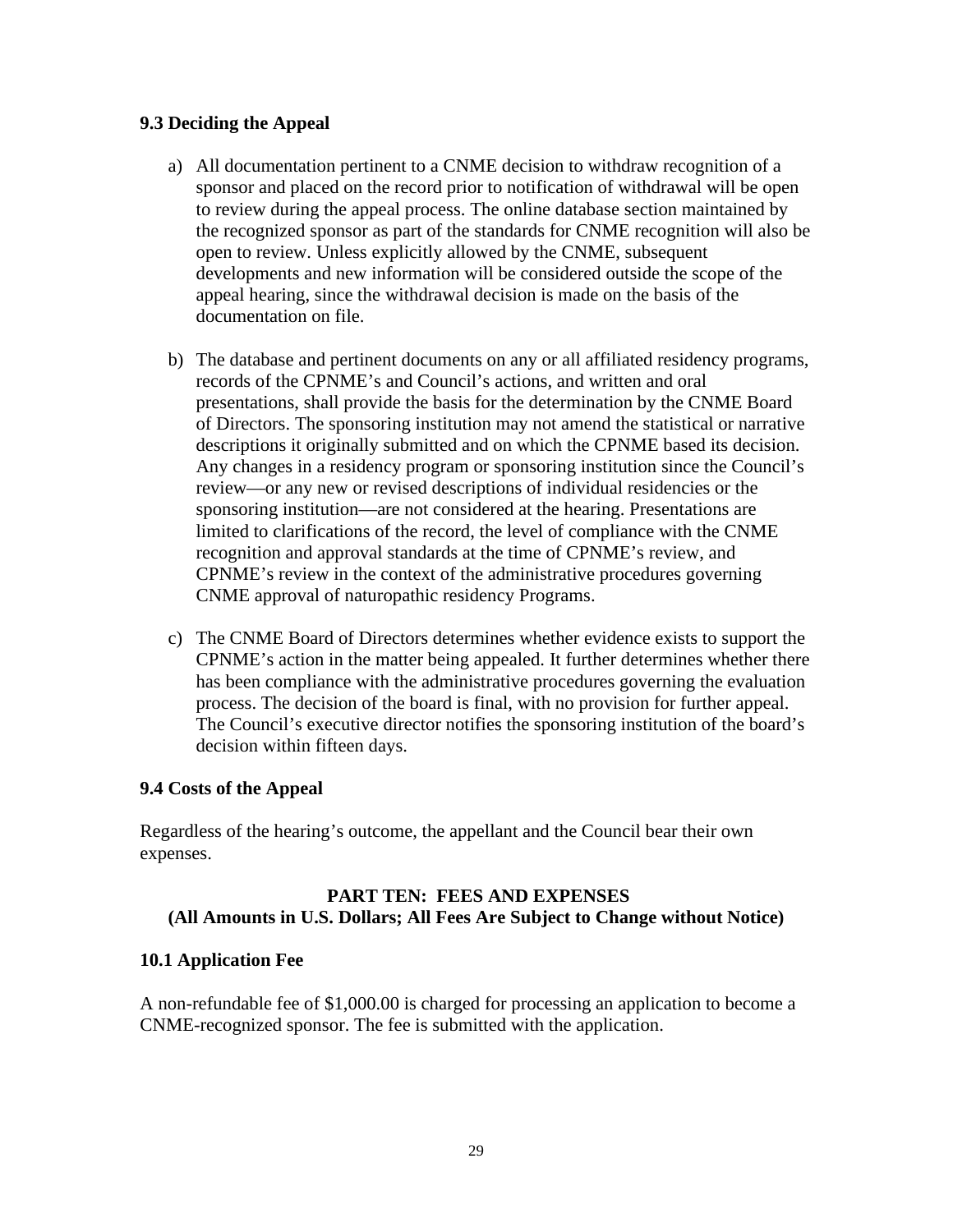#### **9.3 Deciding the Appeal**

- a) All documentation pertinent to a CNME decision to withdraw recognition of a sponsor and placed on the record prior to notification of withdrawal will be open to review during the appeal process. The online database section maintained by the recognized sponsor as part of the standards for CNME recognition will also be open to review. Unless explicitly allowed by the CNME, subsequent developments and new information will be considered outside the scope of the appeal hearing, since the withdrawal decision is made on the basis of the documentation on file.
- b) The database and pertinent documents on any or all affiliated residency programs, records of the CPNME's and Council's actions, and written and oral presentations, shall provide the basis for the determination by the CNME Board of Directors. The sponsoring institution may not amend the statistical or narrative descriptions it originally submitted and on which the CPNME based its decision. Any changes in a residency program or sponsoring institution since the Council's review—or any new or revised descriptions of individual residencies or the sponsoring institution—are not considered at the hearing. Presentations are limited to clarifications of the record, the level of compliance with the CNME recognition and approval standards at the time of CPNME's review, and CPNME's review in the context of the administrative procedures governing CNME approval of naturopathic residency Programs.
- c) The CNME Board of Directors determines whether evidence exists to support the CPNME's action in the matter being appealed. It further determines whether there has been compliance with the administrative procedures governing the evaluation process. The decision of the board is final, with no provision for further appeal. The Council's executive director notifies the sponsoring institution of the board's decision within fifteen days.

#### **9.4 Costs of the Appeal**

Regardless of the hearing's outcome, the appellant and the Council bear their own expenses.

#### **PART TEN: FEES AND EXPENSES (All Amounts in U.S. Dollars; All Fees Are Subject to Change without Notice)**

#### **10.1 Application Fee**

A non-refundable fee of \$1,000.00 is charged for processing an application to become a CNME-recognized sponsor. The fee is submitted with the application.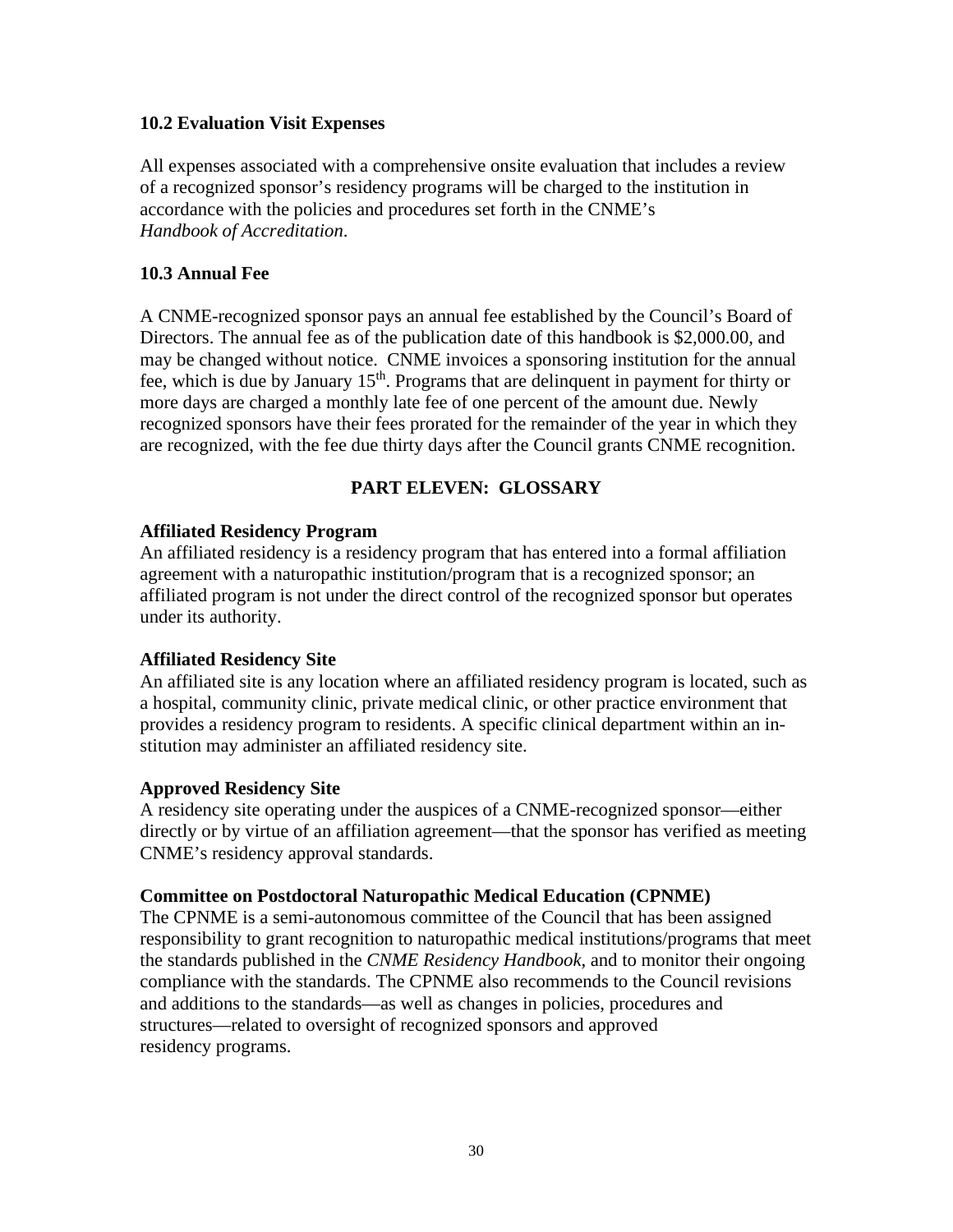#### **10.2 Evaluation Visit Expenses**

All expenses associated with a comprehensive onsite evaluation that includes a review of a recognized sponsor's residency programs will be charged to the institution in accordance with the policies and procedures set forth in the CNME's *Handbook of Accreditation*.

#### **10.3 Annual Fee**

A CNME-recognized sponsor pays an annual fee established by the Council's Board of Directors. The annual fee as of the publication date of this handbook is \$2,000.00, and may be changed without notice. CNME invoices a sponsoring institution for the annual fee, which is due by January  $15<sup>th</sup>$ . Programs that are delinguent in payment for thirty or more days are charged a monthly late fee of one percent of the amount due. Newly recognized sponsors have their fees prorated for the remainder of the year in which they are recognized, with the fee due thirty days after the Council grants CNME recognition.

# **PART ELEVEN: GLOSSARY**

#### **Affiliated Residency Program**

An affiliated residency is a residency program that has entered into a formal affiliation agreement with a naturopathic institution/program that is a recognized sponsor; an affiliated program is not under the direct control of the recognized sponsor but operates under its authority.

#### **Affiliated Residency Site**

An affiliated site is any location where an affiliated residency program is located, such as a hospital, community clinic, private medical clinic, or other practice environment that provides a residency program to residents. A specific clinical department within an institution may administer an affiliated residency site.

#### **Approved Residency Site**

A residency site operating under the auspices of a CNME-recognized sponsor—either directly or by virtue of an affiliation agreement—that the sponsor has verified as meeting CNME's residency approval standards.

#### **Committee on Postdoctoral Naturopathic Medical Education (CPNME)**

The CPNME is a semi-autonomous committee of the Council that has been assigned responsibility to grant recognition to naturopathic medical institutions/programs that meet the standards published in the *CNME Residency Handbook*, and to monitor their ongoing compliance with the standards. The CPNME also recommends to the Council revisions and additions to the standards—as well as changes in policies, procedures and structures—related to oversight of recognized sponsors and approved residency programs.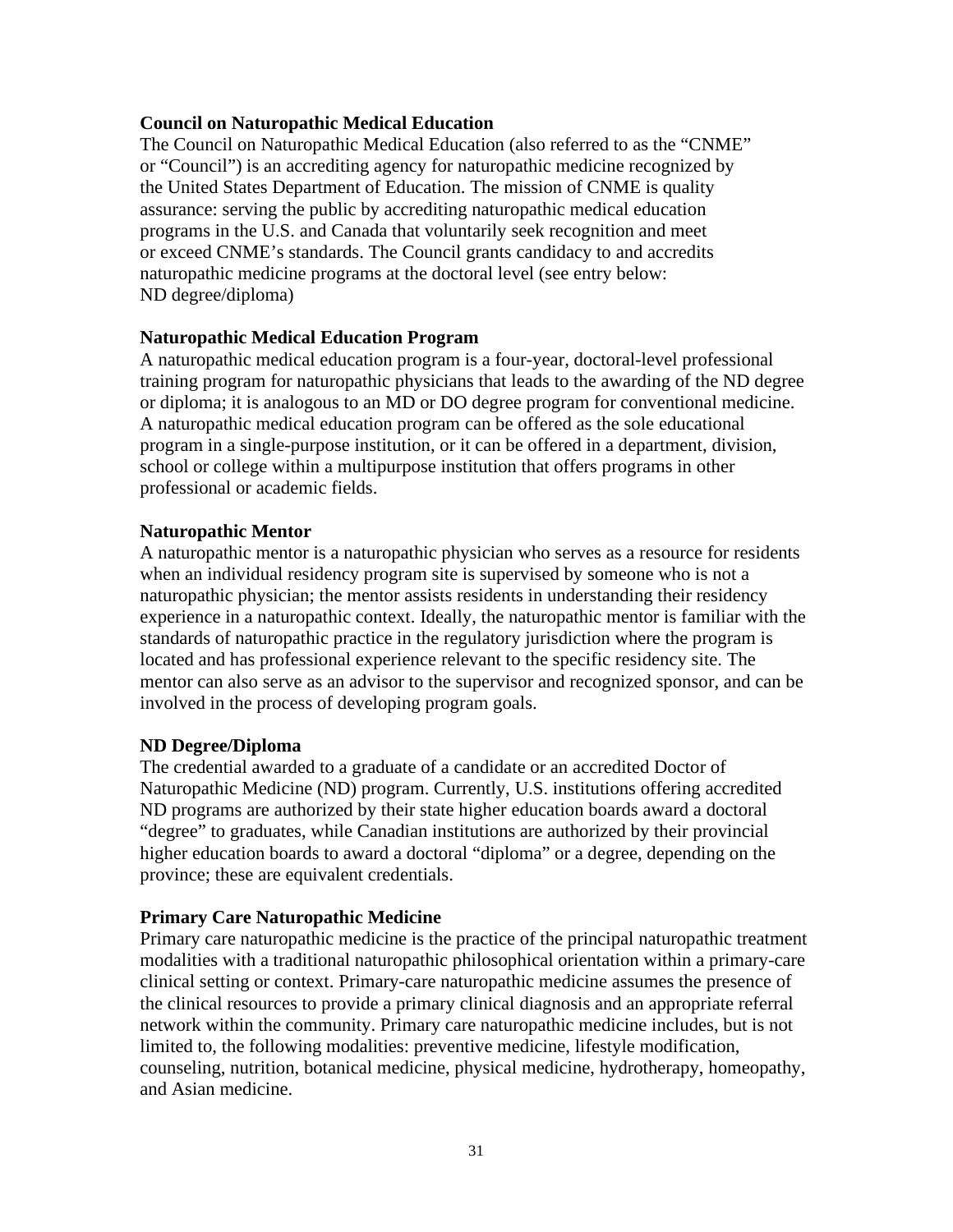#### **Council on Naturopathic Medical Education**

The Council on Naturopathic Medical Education (also referred to as the "CNME" or "Council") is an accrediting agency for naturopathic medicine recognized by the United States Department of Education. The mission of CNME is quality assurance: serving the public by accrediting naturopathic medical education programs in the U.S. and Canada that voluntarily seek recognition and meet or exceed CNME's standards. The Council grants candidacy to and accredits naturopathic medicine programs at the doctoral level (see entry below: ND degree/diploma)

#### **Naturopathic Medical Education Program**

A naturopathic medical education program is a four-year, doctoral-level professional training program for naturopathic physicians that leads to the awarding of the ND degree or diploma; it is analogous to an MD or DO degree program for conventional medicine. A naturopathic medical education program can be offered as the sole educational program in a single-purpose institution, or it can be offered in a department, division, school or college within a multipurpose institution that offers programs in other professional or academic fields.

#### **Naturopathic Mentor**

A naturopathic mentor is a naturopathic physician who serves as a resource for residents when an individual residency program site is supervised by someone who is not a naturopathic physician; the mentor assists residents in understanding their residency experience in a naturopathic context. Ideally, the naturopathic mentor is familiar with the standards of naturopathic practice in the regulatory jurisdiction where the program is located and has professional experience relevant to the specific residency site. The mentor can also serve as an advisor to the supervisor and recognized sponsor, and can be involved in the process of developing program goals.

#### **ND Degree/Diploma**

The credential awarded to a graduate of a candidate or an accredited Doctor of Naturopathic Medicine (ND) program. Currently, U.S. institutions offering accredited ND programs are authorized by their state higher education boards award a doctoral "degree" to graduates, while Canadian institutions are authorized by their provincial higher education boards to award a doctoral "diploma" or a degree, depending on the province; these are equivalent credentials.

#### **Primary Care Naturopathic Medicine**

Primary care naturopathic medicine is the practice of the principal naturopathic treatment modalities with a traditional naturopathic philosophical orientation within a primary-care clinical setting or context. Primary-care naturopathic medicine assumes the presence of the clinical resources to provide a primary clinical diagnosis and an appropriate referral network within the community. Primary care naturopathic medicine includes, but is not limited to, the following modalities: preventive medicine, lifestyle modification, counseling, nutrition, botanical medicine, physical medicine, hydrotherapy, homeopathy, and Asian medicine.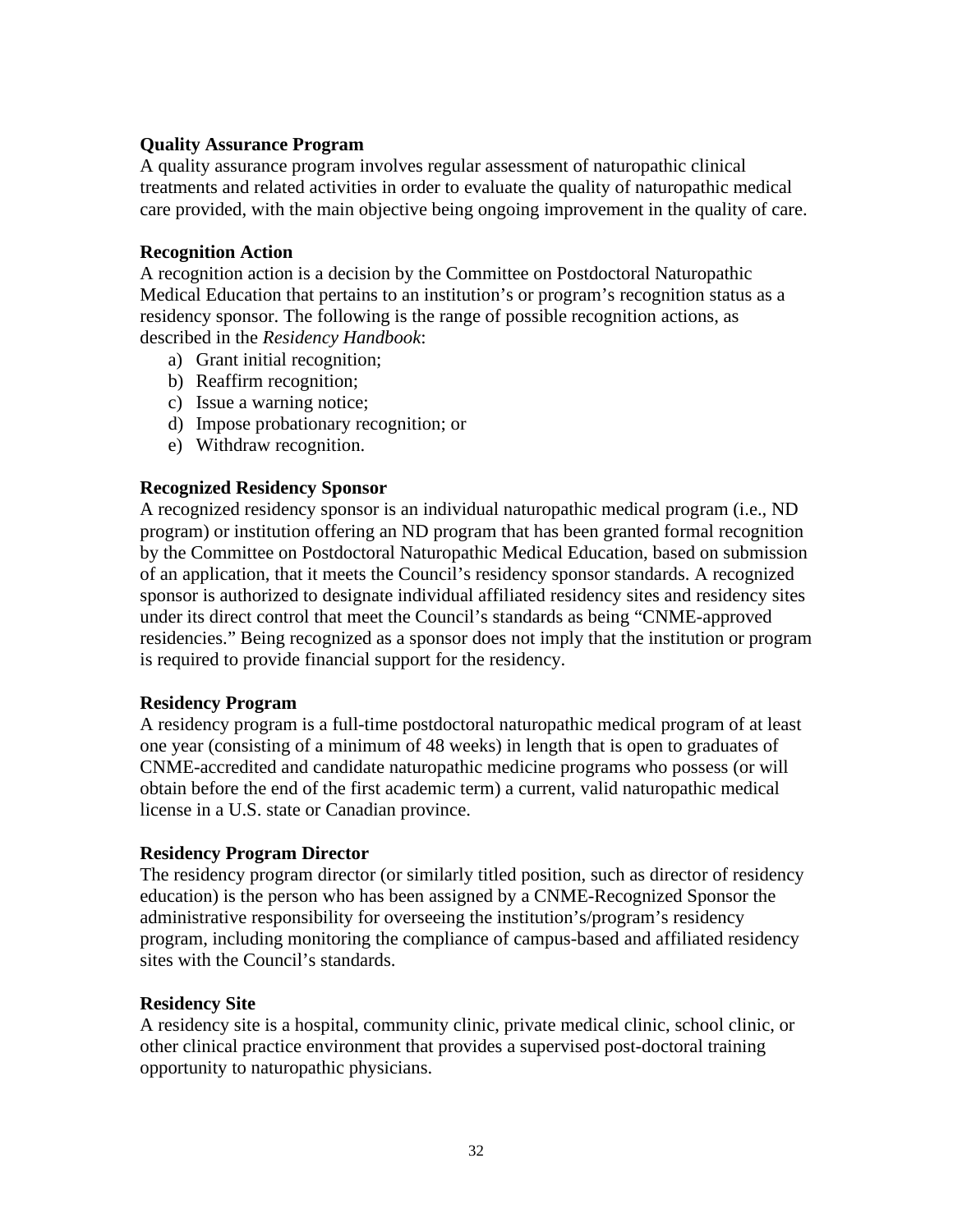#### **Quality Assurance Program**

A quality assurance program involves regular assessment of naturopathic clinical treatments and related activities in order to evaluate the quality of naturopathic medical care provided, with the main objective being ongoing improvement in the quality of care.

#### **Recognition Action**

A recognition action is a decision by the Committee on Postdoctoral Naturopathic Medical Education that pertains to an institution's or program's recognition status as a residency sponsor. The following is the range of possible recognition actions, as described in the *Residency Handbook*:

- a) Grant initial recognition;
- b) Reaffirm recognition;
- c) Issue a warning notice;
- d) Impose probationary recognition; or
- e) Withdraw recognition.

#### **Recognized Residency Sponsor**

A recognized residency sponsor is an individual naturopathic medical program (i.e., ND program) or institution offering an ND program that has been granted formal recognition by the Committee on Postdoctoral Naturopathic Medical Education, based on submission of an application, that it meets the Council's residency sponsor standards. A recognized sponsor is authorized to designate individual affiliated residency sites and residency sites under its direct control that meet the Council's standards as being "CNME-approved residencies." Being recognized as a sponsor does not imply that the institution or program is required to provide financial support for the residency.

#### **Residency Program**

A residency program is a full-time postdoctoral naturopathic medical program of at least one year (consisting of a minimum of 48 weeks) in length that is open to graduates of CNME-accredited and candidate naturopathic medicine programs who possess (or will obtain before the end of the first academic term) a current, valid naturopathic medical license in a U.S. state or Canadian province.

#### **Residency Program Director**

The residency program director (or similarly titled position, such as director of residency education) is the person who has been assigned by a CNME-Recognized Sponsor the administrative responsibility for overseeing the institution's/program's residency program, including monitoring the compliance of campus-based and affiliated residency sites with the Council's standards.

#### **Residency Site**

A residency site is a hospital, community clinic, private medical clinic, school clinic, or other clinical practice environment that provides a supervised post-doctoral training opportunity to naturopathic physicians.